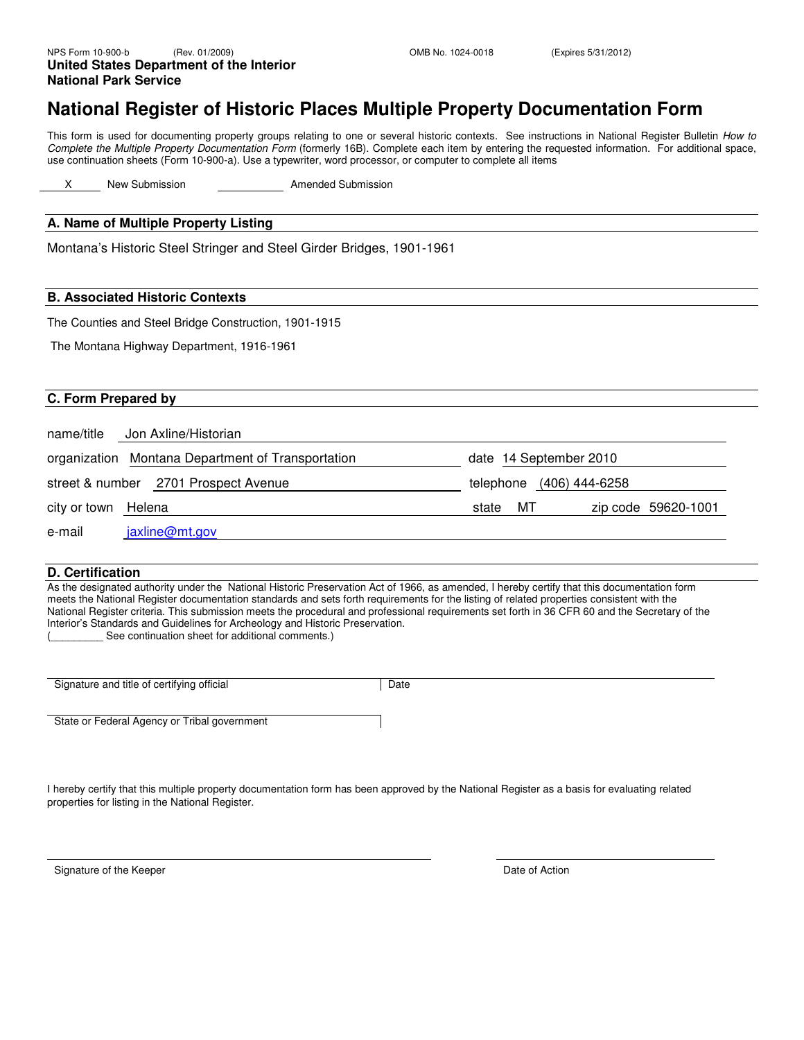## **National Register of Historic Places Multiple Property Documentation Form**

This form is used for documenting property groups relating to one or several historic contexts. See instructions in National Register Bulletin How to Complete the Multiple Property Documentation Form (formerly 16B). Complete each item by entering the requested information. For additional space, use continuation sheets (Form 10-900-a). Use a typewriter, word processor, or computer to complete all items

X New Submission **Amended Submission** 

#### **A. Name of Multiple Property Listing**

Montana's Historic Steel Stringer and Steel Girder Bridges, 1901-1961

#### **B. Associated Historic Contexts**

The Counties and Steel Bridge Construction, 1901-1915

The Montana Highway Department, 1916-1961

#### **C. Form Prepared by**

|                     | name/title Jon Axline/Historian                   |                          |                     |
|---------------------|---------------------------------------------------|--------------------------|---------------------|
|                     | organization Montana Department of Transportation | date 14 September 2010   |                     |
|                     | street & number 2701 Prospect Avenue              | telephone (406) 444-6258 |                     |
| city or town Helena |                                                   | MT.<br>state             | zip code 59620-1001 |
| e-mail              | jaxline@mt.gov                                    |                          |                     |

#### **D. Certification**

As the designated authority under the National Historic Preservation Act of 1966, as amended, I hereby certify that this documentation form meets the National Register documentation standards and sets forth requirements for the listing of related properties consistent with the National Register criteria. This submission meets the procedural and professional requirements set forth in 36 CFR 60 and the Secretary of the Interior's Standards and Guidelines for Archeology and Historic Preservation.

See continuation sheet for additional comments.)

| Signature and title of certifying official | Date |
|--------------------------------------------|------|
|                                            |      |

State or Federal Agency or Tribal government

I hereby certify that this multiple property documentation form has been approved by the National Register as a basis for evaluating related properties for listing in the National Register.

Signature of the Keeper **Date of Action**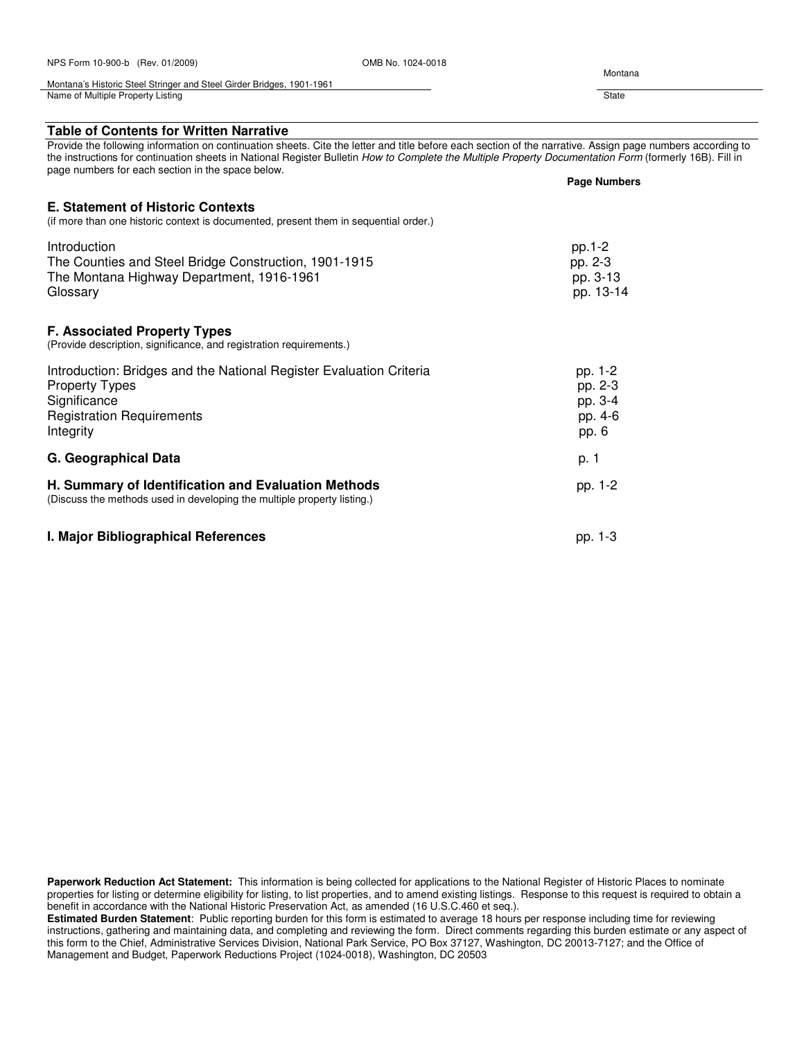| NPS Form 10-900-b (Rev. 01/2009)                                                                                                                              | OMB No. 1024-0018 |                                                                                                                                                                                                                                                                                                                       |
|---------------------------------------------------------------------------------------------------------------------------------------------------------------|-------------------|-----------------------------------------------------------------------------------------------------------------------------------------------------------------------------------------------------------------------------------------------------------------------------------------------------------------------|
| Montana's Historic Steel Stringer and Steel Girder Bridges, 1901-1961                                                                                         |                   | Montana                                                                                                                                                                                                                                                                                                               |
| Name of Multiple Property Listing                                                                                                                             |                   | State                                                                                                                                                                                                                                                                                                                 |
| <b>Table of Contents for Written Narrative</b>                                                                                                                |                   |                                                                                                                                                                                                                                                                                                                       |
| page numbers for each section in the space below.                                                                                                             |                   | Provide the following information on continuation sheets. Cite the letter and title before each section of the narrative. Assign page numbers according to<br>the instructions for continuation sheets in National Register Bulletin How to Complete the Multiple Property Documentation Form (formerly 16B). Fill in |
|                                                                                                                                                               |                   | <b>Page Numbers</b>                                                                                                                                                                                                                                                                                                   |
| <b>E. Statement of Historic Contexts</b><br>(if more than one historic context is documented, present them in sequential order.)                              |                   |                                                                                                                                                                                                                                                                                                                       |
| Introduction<br>The Counties and Steel Bridge Construction, 1901-1915<br>The Montana Highway Department, 1916-1961<br>Glossary                                |                   | pp.1-2<br>pp. 2-3<br>pp. 3-13<br>pp. 13-14                                                                                                                                                                                                                                                                            |
| <b>F. Associated Property Types</b><br>(Provide description, significance, and registration requirements.)                                                    |                   |                                                                                                                                                                                                                                                                                                                       |
| Introduction: Bridges and the National Register Evaluation Criteria<br><b>Property Types</b><br>Significance<br><b>Registration Requirements</b><br>Integrity |                   | pp. 1-2<br>pp. 2-3<br>pp. 3-4<br>pp. 4-6<br>pp. 6                                                                                                                                                                                                                                                                     |
| G. Geographical Data                                                                                                                                          |                   | p. 1                                                                                                                                                                                                                                                                                                                  |
| H. Summary of Identification and Evaluation Methods<br>(Discuss the methods used in developing the multiple property listing.)                                |                   | pp. 1-2                                                                                                                                                                                                                                                                                                               |
| I. Major Bibliographical References                                                                                                                           |                   | pp. 1-3                                                                                                                                                                                                                                                                                                               |

**Estimated Burden Statement**: Public reporting burden for this form is estimated to average 18 hours per response including time for reviewing instructions, gathering and maintaining data, and completing and reviewing the form. Direct comments regarding this burden estimate or any aspect of this form to the Chief, Administrative Services Division, National Park Service, PO Box 37127, Washington, DC 20013-7127; and the Office of Management and Budget, Paperwork Reductions Project (1024-0018), Washington, DC 20503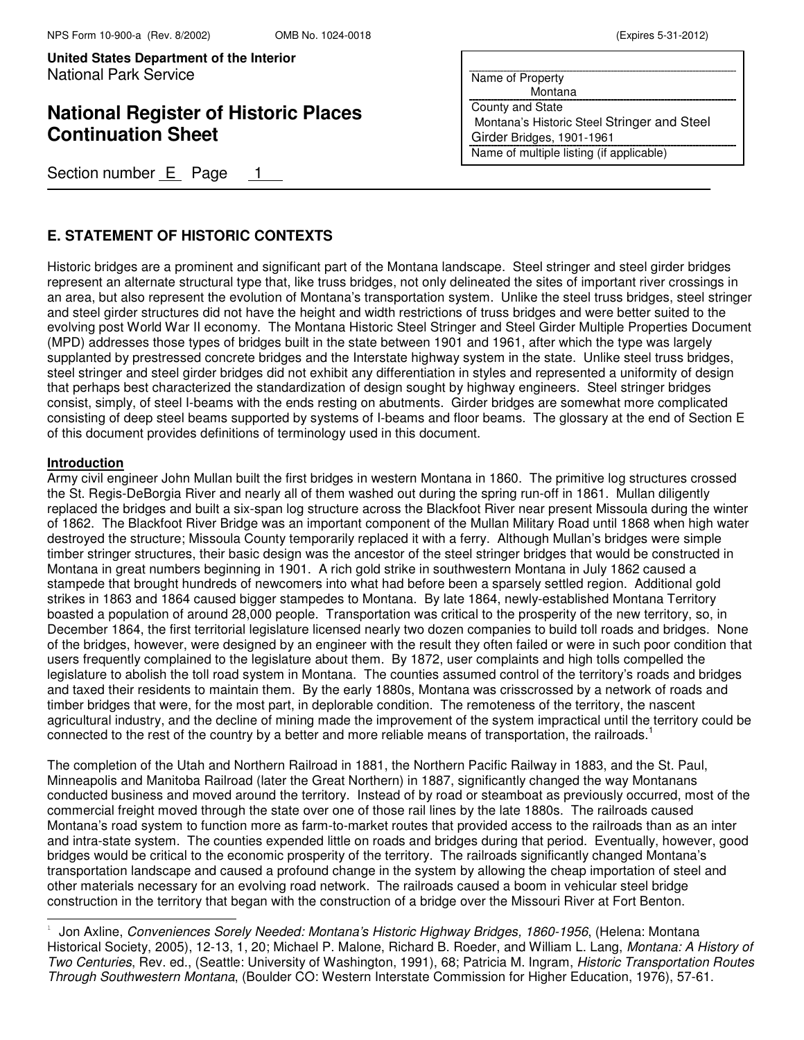## **National Register of Historic Places Continuation Sheet**

Section number  $E$  Page 1

| Name of Property                            |
|---------------------------------------------|
| Montana                                     |
| <b>County and State</b>                     |
| Montana's Historic Steel Stringer and Steel |
| Girder Bridges, 1901-1961                   |
| Name of multiple listing (if applicable)    |
|                                             |

### **E. STATEMENT OF HISTORIC CONTEXTS**

Historic bridges are a prominent and significant part of the Montana landscape. Steel stringer and steel girder bridges represent an alternate structural type that, like truss bridges, not only delineated the sites of important river crossings in an area, but also represent the evolution of Montana's transportation system. Unlike the steel truss bridges, steel stringer and steel girder structures did not have the height and width restrictions of truss bridges and were better suited to the evolving post World War II economy. The Montana Historic Steel Stringer and Steel Girder Multiple Properties Document (MPD) addresses those types of bridges built in the state between 1901 and 1961, after which the type was largely supplanted by prestressed concrete bridges and the Interstate highway system in the state. Unlike steel truss bridges, steel stringer and steel girder bridges did not exhibit any differentiation in styles and represented a uniformity of design that perhaps best characterized the standardization of design sought by highway engineers. Steel stringer bridges consist, simply, of steel I-beams with the ends resting on abutments. Girder bridges are somewhat more complicated consisting of deep steel beams supported by systems of I-beams and floor beams. The glossary at the end of Section E of this document provides definitions of terminology used in this document.

#### **Introduction**

j.

Army civil engineer John Mullan built the first bridges in western Montana in 1860. The primitive log structures crossed the St. Regis-DeBorgia River and nearly all of them washed out during the spring run-off in 1861. Mullan diligently replaced the bridges and built a six-span log structure across the Blackfoot River near present Missoula during the winter of 1862. The Blackfoot River Bridge was an important component of the Mullan Military Road until 1868 when high water destroyed the structure; Missoula County temporarily replaced it with a ferry. Although Mullan's bridges were simple timber stringer structures, their basic design was the ancestor of the steel stringer bridges that would be constructed in Montana in great numbers beginning in 1901. A rich gold strike in southwestern Montana in July 1862 caused a stampede that brought hundreds of newcomers into what had before been a sparsely settled region. Additional gold strikes in 1863 and 1864 caused bigger stampedes to Montana. By late 1864, newly-established Montana Territory boasted a population of around 28,000 people. Transportation was critical to the prosperity of the new territory, so, in December 1864, the first territorial legislature licensed nearly two dozen companies to build toll roads and bridges. None of the bridges, however, were designed by an engineer with the result they often failed or were in such poor condition that users frequently complained to the legislature about them. By 1872, user complaints and high tolls compelled the legislature to abolish the toll road system in Montana. The counties assumed control of the territory's roads and bridges and taxed their residents to maintain them. By the early 1880s, Montana was crisscrossed by a network of roads and timber bridges that were, for the most part, in deplorable condition. The remoteness of the territory, the nascent agricultural industry, and the decline of mining made the improvement of the system impractical until the territory could be connected to the rest of the country by a better and more reliable means of transportation, the railroads.<sup>1</sup>

The completion of the Utah and Northern Railroad in 1881, the Northern Pacific Railway in 1883, and the St. Paul, Minneapolis and Manitoba Railroad (later the Great Northern) in 1887, significantly changed the way Montanans conducted business and moved around the territory. Instead of by road or steamboat as previously occurred, most of the commercial freight moved through the state over one of those rail lines by the late 1880s. The railroads caused Montana's road system to function more as farm-to-market routes that provided access to the railroads than as an inter and intra-state system. The counties expended little on roads and bridges during that period. Eventually, however, good bridges would be critical to the economic prosperity of the territory. The railroads significantly changed Montana's transportation landscape and caused a profound change in the system by allowing the cheap importation of steel and other materials necessary for an evolving road network. The railroads caused a boom in vehicular steel bridge construction in the territory that began with the construction of a bridge over the Missouri River at Fort Benton.

<sup>1</sup> Jon Axline, Conveniences Sorely Needed: Montana's Historic Highway Bridges, 1860-1956, (Helena: Montana Historical Society, 2005), 12-13, 1, 20; Michael P. Malone, Richard B. Roeder, and William L. Lang, Montana: A History of Two Centuries, Rev. ed., (Seattle: University of Washington, 1991), 68; Patricia M. Ingram, Historic Transportation Routes Through Southwestern Montana, (Boulder CO: Western Interstate Commission for Higher Education, 1976), 57-61.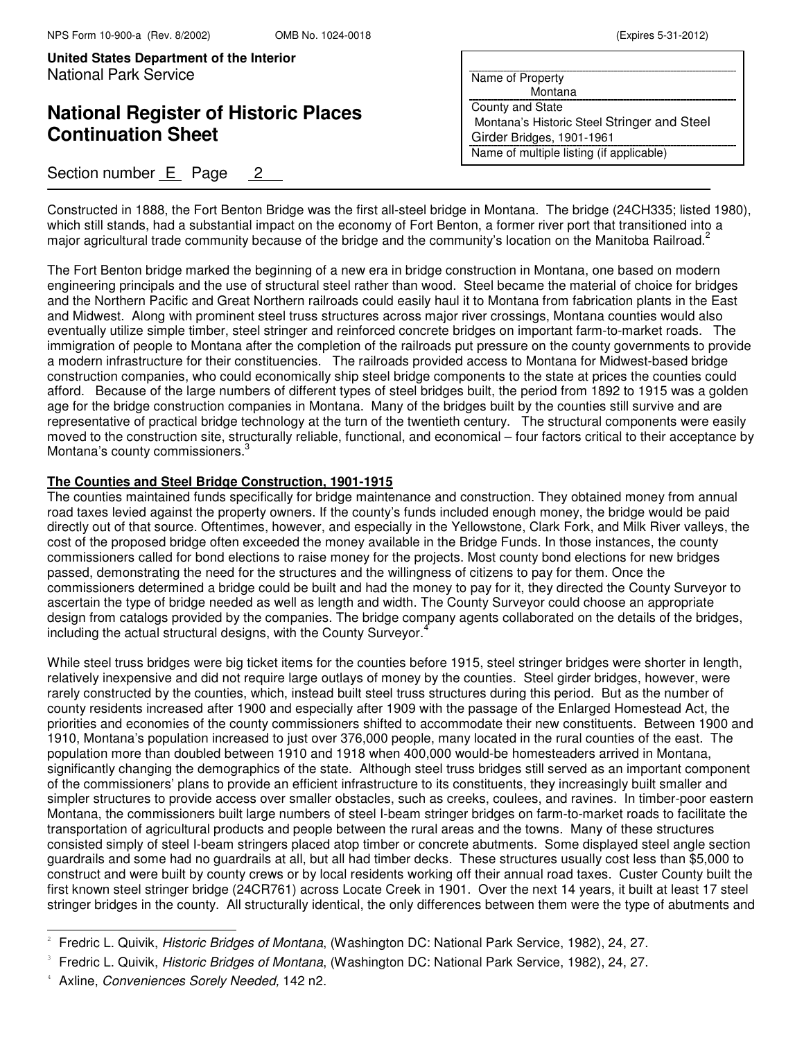# **National Register of Historic Places Continuation Sheet**

## Section number E Page 2

| Name of Property                            |
|---------------------------------------------|
| Montana                                     |
| County and State                            |
| Montana's Historic Steel Stringer and Steel |
| Girder Bridges, 1901-1961                   |
| Name of multiple listing (if applicable)    |
|                                             |

Constructed in 1888, the Fort Benton Bridge was the first all-steel bridge in Montana. The bridge (24CH335; listed 1980), which still stands, had a substantial impact on the economy of Fort Benton, a former river port that transitioned into a major agricultural trade community because of the bridge and the community's location on the Manitoba Railroad.<sup>2</sup>

The Fort Benton bridge marked the beginning of a new era in bridge construction in Montana, one based on modern engineering principals and the use of structural steel rather than wood. Steel became the material of choice for bridges and the Northern Pacific and Great Northern railroads could easily haul it to Montana from fabrication plants in the East and Midwest. Along with prominent steel truss structures across major river crossings, Montana counties would also eventually utilize simple timber, steel stringer and reinforced concrete bridges on important farm-to-market roads. The immigration of people to Montana after the completion of the railroads put pressure on the county governments to provide a modern infrastructure for their constituencies. The railroads provided access to Montana for Midwest-based bridge construction companies, who could economically ship steel bridge components to the state at prices the counties could afford. Because of the large numbers of different types of steel bridges built, the period from 1892 to 1915 was a golden age for the bridge construction companies in Montana. Many of the bridges built by the counties still survive and are representative of practical bridge technology at the turn of the twentieth century. The structural components were easily moved to the construction site, structurally reliable, functional, and economical – four factors critical to their acceptance by Montana's county commissioners.<sup>3</sup>

#### **The Counties and Steel Bridge Construction, 1901-1915**

The counties maintained funds specifically for bridge maintenance and construction. They obtained money from annual road taxes levied against the property owners. If the county's funds included enough money, the bridge would be paid directly out of that source. Oftentimes, however, and especially in the Yellowstone, Clark Fork, and Milk River valleys, the cost of the proposed bridge often exceeded the money available in the Bridge Funds. In those instances, the county commissioners called for bond elections to raise money for the projects. Most county bond elections for new bridges passed, demonstrating the need for the structures and the willingness of citizens to pay for them. Once the commissioners determined a bridge could be built and had the money to pay for it, they directed the County Surveyor to ascertain the type of bridge needed as well as length and width. The County Surveyor could choose an appropriate design from catalogs provided by the companies. The bridge company agents collaborated on the details of the bridges, including the actual structural designs, with the County Surveyor.<sup>4</sup>

While steel truss bridges were big ticket items for the counties before 1915, steel stringer bridges were shorter in length, relatively inexpensive and did not require large outlays of money by the counties. Steel girder bridges, however, were rarely constructed by the counties, which, instead built steel truss structures during this period. But as the number of county residents increased after 1900 and especially after 1909 with the passage of the Enlarged Homestead Act, the priorities and economies of the county commissioners shifted to accommodate their new constituents. Between 1900 and 1910, Montana's population increased to just over 376,000 people, many located in the rural counties of the east. The population more than doubled between 1910 and 1918 when 400,000 would-be homesteaders arrived in Montana, significantly changing the demographics of the state. Although steel truss bridges still served as an important component of the commissioners' plans to provide an efficient infrastructure to its constituents, they increasingly built smaller and simpler structures to provide access over smaller obstacles, such as creeks, coulees, and ravines. In timber-poor eastern Montana, the commissioners built large numbers of steel I-beam stringer bridges on farm-to-market roads to facilitate the transportation of agricultural products and people between the rural areas and the towns. Many of these structures consisted simply of steel I-beam stringers placed atop timber or concrete abutments. Some displayed steel angle section guardrails and some had no guardrails at all, but all had timber decks. These structures usually cost less than \$5,000 to construct and were built by county crews or by local residents working off their annual road taxes. Custer County built the first known steel stringer bridge (24CR761) across Locate Creek in 1901. Over the next 14 years, it built at least 17 steel stringer bridges in the county. All structurally identical, the only differences between them were the type of abutments and

<sup>2</sup> Fredric L. Quivik, Historic Bridges of Montana, (Washington DC: National Park Service, 1982), 24, 27.

<sup>3</sup> Fredric L. Quivik, Historic Bridges of Montana, (Washington DC: National Park Service, 1982), 24, 27.

<sup>4</sup> Axline, Conveniences Sorely Needed, 142 n2.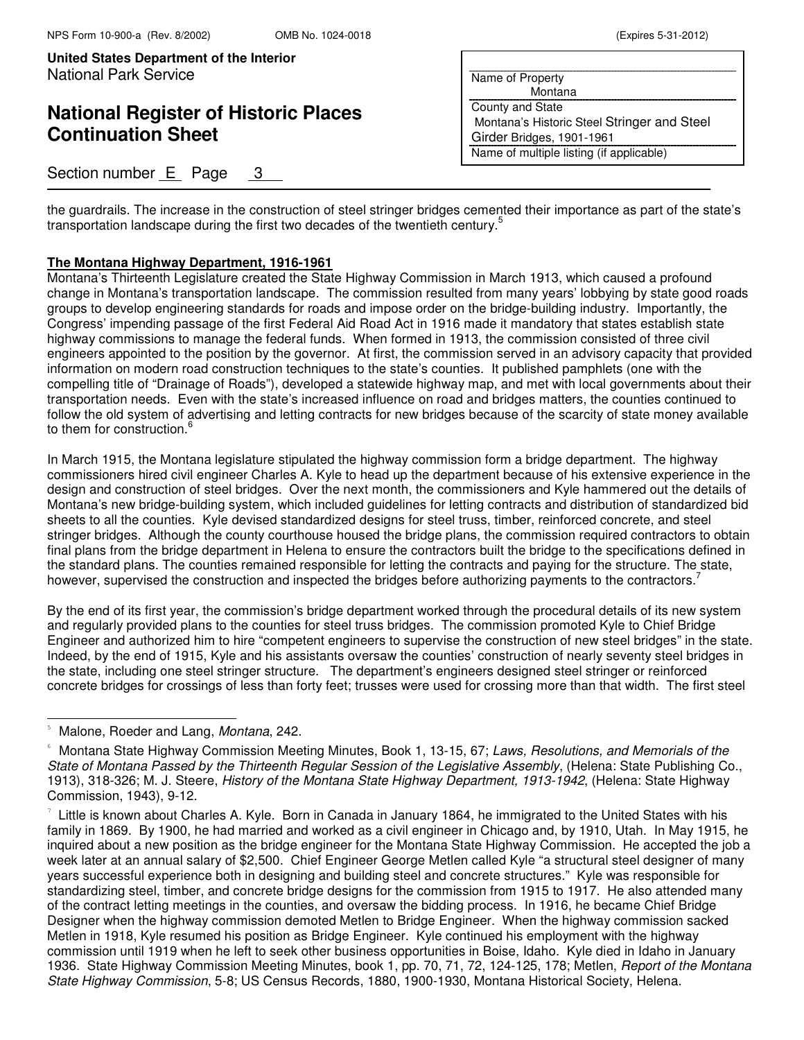# **National Register of Historic Places Continuation Sheet**

### Section number E Page 3

| Name of Property                            |
|---------------------------------------------|
| Montana                                     |
| County and State                            |
| Montana's Historic Steel Stringer and Steel |
| Girder Bridges, 1901-1961                   |
| Name of multiple listing (if applicable)    |
|                                             |

the guardrails. The increase in the construction of steel stringer bridges cemented their importance as part of the state's transportation landscape during the first two decades of the twentieth century.<sup>5</sup>

#### **The Montana Highway Department, 1916-1961**

Montana's Thirteenth Legislature created the State Highway Commission in March 1913, which caused a profound change in Montana's transportation landscape. The commission resulted from many years' lobbying by state good roads groups to develop engineering standards for roads and impose order on the bridge-building industry. Importantly, the Congress' impending passage of the first Federal Aid Road Act in 1916 made it mandatory that states establish state highway commissions to manage the federal funds. When formed in 1913, the commission consisted of three civil engineers appointed to the position by the governor. At first, the commission served in an advisory capacity that provided information on modern road construction techniques to the state's counties. It published pamphlets (one with the compelling title of "Drainage of Roads"), developed a statewide highway map, and met with local governments about their transportation needs. Even with the state's increased influence on road and bridges matters, the counties continued to follow the old system of advertising and letting contracts for new bridges because of the scarcity of state money available to them for construction.<sup>6</sup>

In March 1915, the Montana legislature stipulated the highway commission form a bridge department. The highway commissioners hired civil engineer Charles A. Kyle to head up the department because of his extensive experience in the design and construction of steel bridges. Over the next month, the commissioners and Kyle hammered out the details of Montana's new bridge-building system, which included guidelines for letting contracts and distribution of standardized bid sheets to all the counties. Kyle devised standardized designs for steel truss, timber, reinforced concrete, and steel stringer bridges. Although the county courthouse housed the bridge plans, the commission required contractors to obtain final plans from the bridge department in Helena to ensure the contractors built the bridge to the specifications defined in the standard plans. The counties remained responsible for letting the contracts and paying for the structure. The state, however, supervised the construction and inspected the bridges before authorizing payments to the contractors.

By the end of its first year, the commission's bridge department worked through the procedural details of its new system and regularly provided plans to the counties for steel truss bridges. The commission promoted Kyle to Chief Bridge Engineer and authorized him to hire "competent engineers to supervise the construction of new steel bridges" in the state. Indeed, by the end of 1915, Kyle and his assistants oversaw the counties' construction of nearly seventy steel bridges in the state, including one steel stringer structure. The department's engineers designed steel stringer or reinforced concrete bridges for crossings of less than forty feet; trusses were used for crossing more than that width. The first steel

Malone, Roeder and Lang, Montana, 242.

Montana State Highway Commission Meeting Minutes, Book 1, 13-15, 67; Laws, Resolutions, and Memorials of the State of Montana Passed by the Thirteenth Regular Session of the Legislative Assembly, (Helena: State Publishing Co., 1913), 318-326; M. J. Steere, History of the Montana State Highway Department, 1913-1942, (Helena: State Highway Commission, 1943), 9-12.

<sup>7</sup> Little is known about Charles A. Kyle. Born in Canada in January 1864, he immigrated to the United States with his family in 1869. By 1900, he had married and worked as a civil engineer in Chicago and, by 1910, Utah. In May 1915, he inquired about a new position as the bridge engineer for the Montana State Highway Commission. He accepted the job a week later at an annual salary of \$2,500. Chief Engineer George Metlen called Kyle "a structural steel designer of many years successful experience both in designing and building steel and concrete structures." Kyle was responsible for standardizing steel, timber, and concrete bridge designs for the commission from 1915 to 1917. He also attended many of the contract letting meetings in the counties, and oversaw the bidding process. In 1916, he became Chief Bridge Designer when the highway commission demoted Metlen to Bridge Engineer. When the highway commission sacked Metlen in 1918, Kyle resumed his position as Bridge Engineer. Kyle continued his employment with the highway commission until 1919 when he left to seek other business opportunities in Boise, Idaho. Kyle died in Idaho in January 1936. State Highway Commission Meeting Minutes, book 1, pp. 70, 71, 72, 124-125, 178; Metlen, Report of the Montana State Highway Commission, 5-8; US Census Records, 1880, 1900-1930, Montana Historical Society, Helena.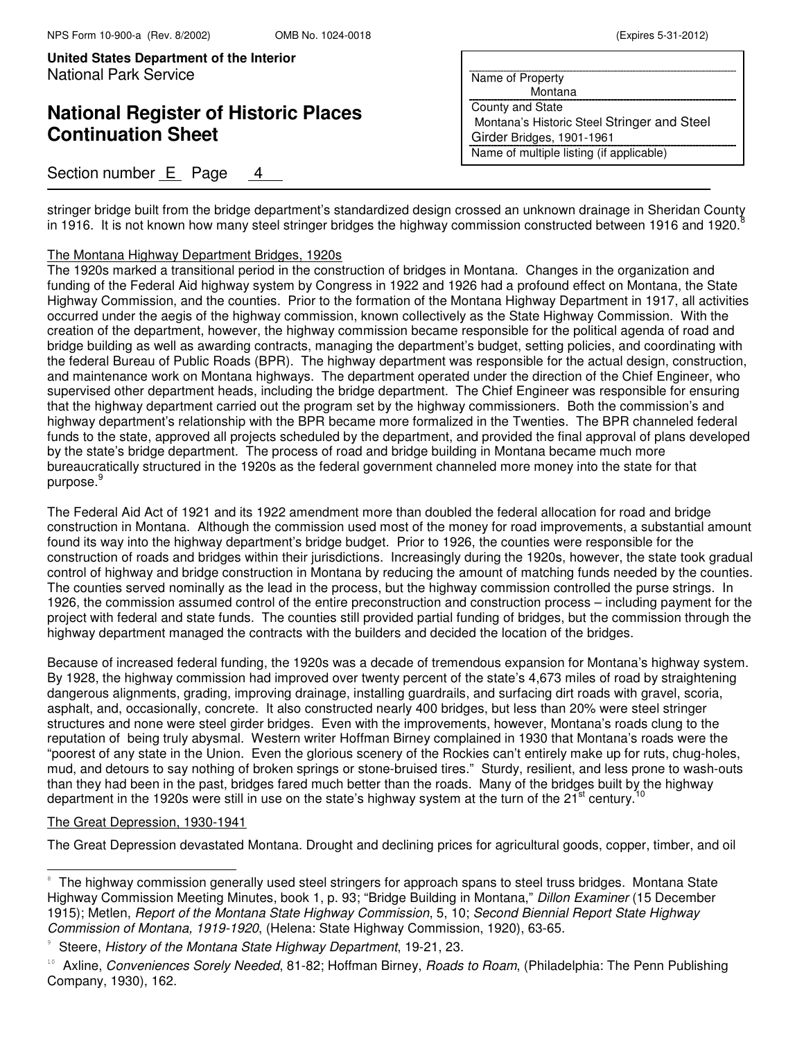# **National Register of Historic Places Continuation Sheet**

### Section number E Page 4

| Name of Property                            |
|---------------------------------------------|
| Montana                                     |
| <b>County and State</b>                     |
| Montana's Historic Steel Stringer and Steel |
| Girder Bridges, 1901-1961                   |
| Name of multiple listing (if applicable)    |
|                                             |

stringer bridge built from the bridge department's standardized design crossed an unknown drainage in Sheridan County in 1916. It is not known how many steel stringer bridges the highway commission constructed between 1916 and 1920.

#### The Montana Highway Department Bridges, 1920s

The 1920s marked a transitional period in the construction of bridges in Montana. Changes in the organization and funding of the Federal Aid highway system by Congress in 1922 and 1926 had a profound effect on Montana, the State Highway Commission, and the counties. Prior to the formation of the Montana Highway Department in 1917, all activities occurred under the aegis of the highway commission, known collectively as the State Highway Commission. With the creation of the department, however, the highway commission became responsible for the political agenda of road and bridge building as well as awarding contracts, managing the department's budget, setting policies, and coordinating with the federal Bureau of Public Roads (BPR). The highway department was responsible for the actual design, construction, and maintenance work on Montana highways. The department operated under the direction of the Chief Engineer, who supervised other department heads, including the bridge department. The Chief Engineer was responsible for ensuring that the highway department carried out the program set by the highway commissioners. Both the commission's and highway department's relationship with the BPR became more formalized in the Twenties. The BPR channeled federal funds to the state, approved all projects scheduled by the department, and provided the final approval of plans developed by the state's bridge department. The process of road and bridge building in Montana became much more bureaucratically structured in the 1920s as the federal government channeled more money into the state for that purpose.

The Federal Aid Act of 1921 and its 1922 amendment more than doubled the federal allocation for road and bridge construction in Montana. Although the commission used most of the money for road improvements, a substantial amount found its way into the highway department's bridge budget. Prior to 1926, the counties were responsible for the construction of roads and bridges within their jurisdictions. Increasingly during the 1920s, however, the state took gradual control of highway and bridge construction in Montana by reducing the amount of matching funds needed by the counties. The counties served nominally as the lead in the process, but the highway commission controlled the purse strings. In 1926, the commission assumed control of the entire preconstruction and construction process – including payment for the project with federal and state funds. The counties still provided partial funding of bridges, but the commission through the highway department managed the contracts with the builders and decided the location of the bridges.

Because of increased federal funding, the 1920s was a decade of tremendous expansion for Montana's highway system. By 1928, the highway commission had improved over twenty percent of the state's 4,673 miles of road by straightening dangerous alignments, grading, improving drainage, installing guardrails, and surfacing dirt roads with gravel, scoria, asphalt, and, occasionally, concrete. It also constructed nearly 400 bridges, but less than 20% were steel stringer structures and none were steel girder bridges. Even with the improvements, however, Montana's roads clung to the reputation of being truly abysmal. Western writer Hoffman Birney complained in 1930 that Montana's roads were the "poorest of any state in the Union. Even the glorious scenery of the Rockies can't entirely make up for ruts, chug-holes, mud, and detours to say nothing of broken springs or stone-bruised tires." Sturdy, resilient, and less prone to wash-outs than they had been in the past, bridges fared much better than the roads. Many of the bridges built by the highway department in the 1920s were still in use on the state's highway system at the turn of the  $21<sup>st</sup>$  century.<sup>1</sup>

#### The Great Depression, 1930-1941

j.

The Great Depression devastated Montana. Drought and declining prices for agricultural goods, copper, timber, and oil

<sup>8</sup> The highway commission generally used steel stringers for approach spans to steel truss bridges. Montana State Highway Commission Meeting Minutes, book 1, p. 93; "Bridge Building in Montana," Dillon Examiner (15 December 1915); Metlen, Report of the Montana State Highway Commission, 5, 10; Second Biennial Report State Highway Commission of Montana, 1919-1920, (Helena: State Highway Commission, 1920), 63-65.

<sup>9</sup> Steere, History of the Montana State Highway Department, 19-21, 23.

<sup>&</sup>lt;sup>10</sup> Axline, Conveniences Sorely Needed, 81-82; Hoffman Birney, Roads to Roam, (Philadelphia: The Penn Publishing Company, 1930), 162.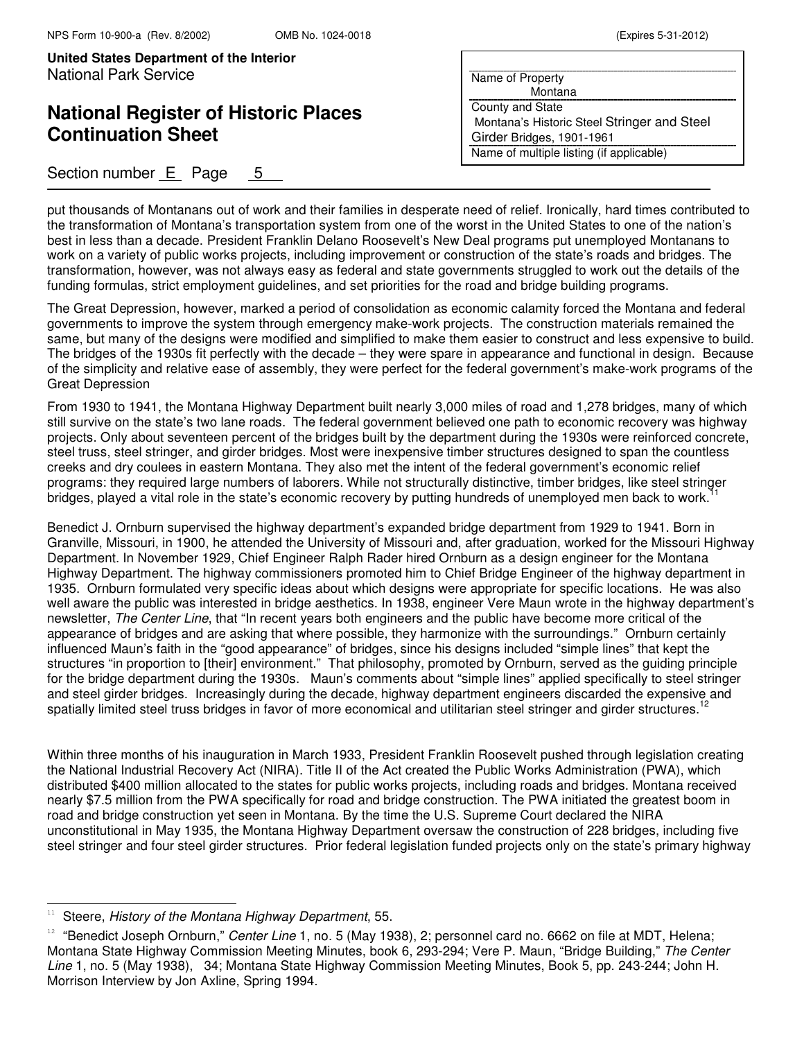## **National Register of Historic Places Continuation Sheet**

### Section number  $E$  Page 5

| Name of Property                            |
|---------------------------------------------|
| Montana                                     |
| County and State                            |
| Montana's Historic Steel Stringer and Steel |
| Girder Bridges, 1901-1961                   |
| Name of multiple listing (if applicable)    |

put thousands of Montanans out of work and their families in desperate need of relief. Ironically, hard times contributed to the transformation of Montana's transportation system from one of the worst in the United States to one of the nation's best in less than a decade. President Franklin Delano Roosevelt's New Deal programs put unemployed Montanans to work on a variety of public works projects, including improvement or construction of the state's roads and bridges. The transformation, however, was not always easy as federal and state governments struggled to work out the details of the funding formulas, strict employment guidelines, and set priorities for the road and bridge building programs.

The Great Depression, however, marked a period of consolidation as economic calamity forced the Montana and federal governments to improve the system through emergency make-work projects. The construction materials remained the same, but many of the designs were modified and simplified to make them easier to construct and less expensive to build. The bridges of the 1930s fit perfectly with the decade – they were spare in appearance and functional in design. Because of the simplicity and relative ease of assembly, they were perfect for the federal government's make-work programs of the Great Depression

From 1930 to 1941, the Montana Highway Department built nearly 3,000 miles of road and 1,278 bridges, many of which still survive on the state's two lane roads. The federal government believed one path to economic recovery was highway projects. Only about seventeen percent of the bridges built by the department during the 1930s were reinforced concrete, steel truss, steel stringer, and girder bridges. Most were inexpensive timber structures designed to span the countless creeks and dry coulees in eastern Montana. They also met the intent of the federal government's economic relief programs: they required large numbers of laborers. While not structurally distinctive, timber bridges, like steel stringer bridges, played a vital role in the state's economic recovery by putting hundreds of unemployed men back to work.<sup>1</sup>

Benedict J. Ornburn supervised the highway department's expanded bridge department from 1929 to 1941. Born in Granville, Missouri, in 1900, he attended the University of Missouri and, after graduation, worked for the Missouri Highway Department. In November 1929, Chief Engineer Ralph Rader hired Ornburn as a design engineer for the Montana Highway Department. The highway commissioners promoted him to Chief Bridge Engineer of the highway department in 1935. Ornburn formulated very specific ideas about which designs were appropriate for specific locations. He was also well aware the public was interested in bridge aesthetics. In 1938, engineer Vere Maun wrote in the highway department's newsletter, The Center Line, that "In recent years both engineers and the public have become more critical of the appearance of bridges and are asking that where possible, they harmonize with the surroundings." Ornburn certainly influenced Maun's faith in the "good appearance" of bridges, since his designs included "simple lines" that kept the structures "in proportion to [their] environment." That philosophy, promoted by Ornburn, served as the guiding principle for the bridge department during the 1930s. Maun's comments about "simple lines" applied specifically to steel stringer and steel girder bridges. Increasingly during the decade, highway department engineers discarded the expensive and spatially limited steel truss bridges in favor of more economical and utilitarian steel stringer and girder structures.<sup>12</sup>

Within three months of his inauguration in March 1933, President Franklin Roosevelt pushed through legislation creating the National Industrial Recovery Act (NIRA). Title II of the Act created the Public Works Administration (PWA), which distributed \$400 million allocated to the states for public works projects, including roads and bridges. Montana received nearly \$7.5 million from the PWA specifically for road and bridge construction. The PWA initiated the greatest boom in road and bridge construction yet seen in Montana. By the time the U.S. Supreme Court declared the NIRA unconstitutional in May 1935, the Montana Highway Department oversaw the construction of 228 bridges, including five steel stringer and four steel girder structures. Prior federal legislation funded projects only on the state's primary highway

Steere, History of the Montana Highway Department, 55.

<sup>&</sup>lt;sup>12</sup> "Benedict Joseph Ornburn," Center Line 1, no. 5 (May 1938), 2; personnel card no. 6662 on file at MDT, Helena; Montana State Highway Commission Meeting Minutes, book 6, 293-294; Vere P. Maun, "Bridge Building," The Center Line 1, no. 5 (May 1938), 34; Montana State Highway Commission Meeting Minutes, Book 5, pp. 243-244; John H. Morrison Interview by Jon Axline, Spring 1994.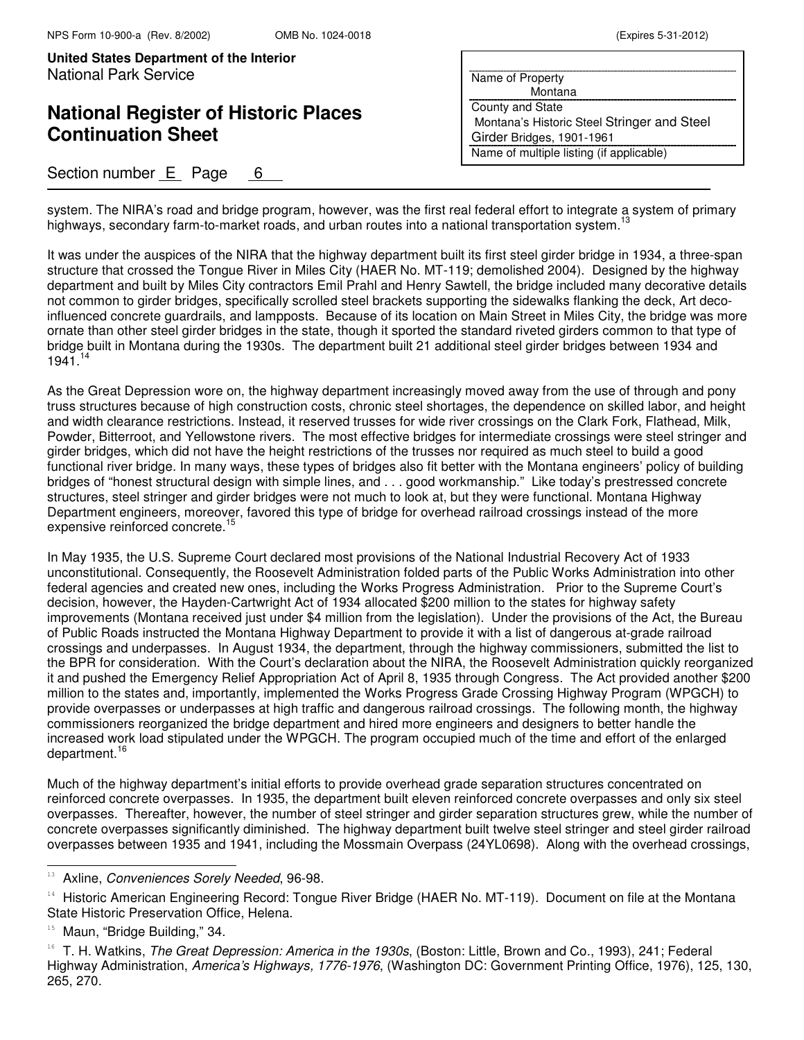# **National Register of Historic Places Continuation Sheet**

### Section number  $E$  Page 6

| Name of Property                            |
|---------------------------------------------|
| Montana                                     |
| County and State                            |
| Montana's Historic Steel Stringer and Steel |
| Girder Bridges, 1901-1961                   |
| Name of multiple listing (if applicable)    |

system. The NIRA's road and bridge program, however, was the first real federal effort to integrate a system of primary highways, secondary farm-to-market roads, and urban routes into a national transportation system.<sup>13</sup>

It was under the auspices of the NIRA that the highway department built its first steel girder bridge in 1934, a three-span structure that crossed the Tongue River in Miles City (HAER No. MT-119; demolished 2004). Designed by the highway department and built by Miles City contractors Emil Prahl and Henry Sawtell, the bridge included many decorative details not common to girder bridges, specifically scrolled steel brackets supporting the sidewalks flanking the deck, Art decoinfluenced concrete guardrails, and lampposts. Because of its location on Main Street in Miles City, the bridge was more ornate than other steel girder bridges in the state, though it sported the standard riveted girders common to that type of bridge built in Montana during the 1930s. The department built 21 additional steel girder bridges between 1934 and 1941.14

As the Great Depression wore on, the highway department increasingly moved away from the use of through and pony truss structures because of high construction costs, chronic steel shortages, the dependence on skilled labor, and height and width clearance restrictions. Instead, it reserved trusses for wide river crossings on the Clark Fork, Flathead, Milk, Powder, Bitterroot, and Yellowstone rivers. The most effective bridges for intermediate crossings were steel stringer and girder bridges, which did not have the height restrictions of the trusses nor required as much steel to build a good functional river bridge. In many ways, these types of bridges also fit better with the Montana engineers' policy of building bridges of "honest structural design with simple lines, and . . . good workmanship." Like today's prestressed concrete structures, steel stringer and girder bridges were not much to look at, but they were functional. Montana Highway Department engineers, moreover, favored this type of bridge for overhead railroad crossings instead of the more expensive reinforced concrete.<sup>15</sup>

In May 1935, the U.S. Supreme Court declared most provisions of the National Industrial Recovery Act of 1933 unconstitutional. Consequently, the Roosevelt Administration folded parts of the Public Works Administration into other federal agencies and created new ones, including the Works Progress Administration. Prior to the Supreme Court's decision, however, the Hayden-Cartwright Act of 1934 allocated \$200 million to the states for highway safety improvements (Montana received just under \$4 million from the legislation). Under the provisions of the Act, the Bureau of Public Roads instructed the Montana Highway Department to provide it with a list of dangerous at-grade railroad crossings and underpasses. In August 1934, the department, through the highway commissioners, submitted the list to the BPR for consideration. With the Court's declaration about the NIRA, the Roosevelt Administration quickly reorganized it and pushed the Emergency Relief Appropriation Act of April 8, 1935 through Congress. The Act provided another \$200 million to the states and, importantly, implemented the Works Progress Grade Crossing Highway Program (WPGCH) to provide overpasses or underpasses at high traffic and dangerous railroad crossings. The following month, the highway commissioners reorganized the bridge department and hired more engineers and designers to better handle the increased work load stipulated under the WPGCH. The program occupied much of the time and effort of the enlarged department.<sup>16</sup>

Much of the highway department's initial efforts to provide overhead grade separation structures concentrated on reinforced concrete overpasses. In 1935, the department built eleven reinforced concrete overpasses and only six steel overpasses. Thereafter, however, the number of steel stringer and girder separation structures grew, while the number of concrete overpasses significantly diminished. The highway department built twelve steel stringer and steel girder railroad overpasses between 1935 and 1941, including the Mossmain Overpass (24YL0698). Along with the overhead crossings,

j.

<sup>&</sup>lt;sup>13</sup> Axline, *Conveniences Sorely Needed*, 96-98.

<sup>&</sup>lt;sup>14</sup> Historic American Engineering Record: Tongue River Bridge (HAER No. MT-119). Document on file at the Montana State Historic Preservation Office, Helena.

Maun, "Bridge Building," 34.

<sup>&</sup>lt;sup>16</sup> T. H. Watkins, *The Great Depression: America in the 1930s*, (Boston: Little, Brown and Co., 1993), 241; Federal Highway Administration, America's Highways, 1776-1976, (Washington DC: Government Printing Office, 1976), 125, 130, 265, 270.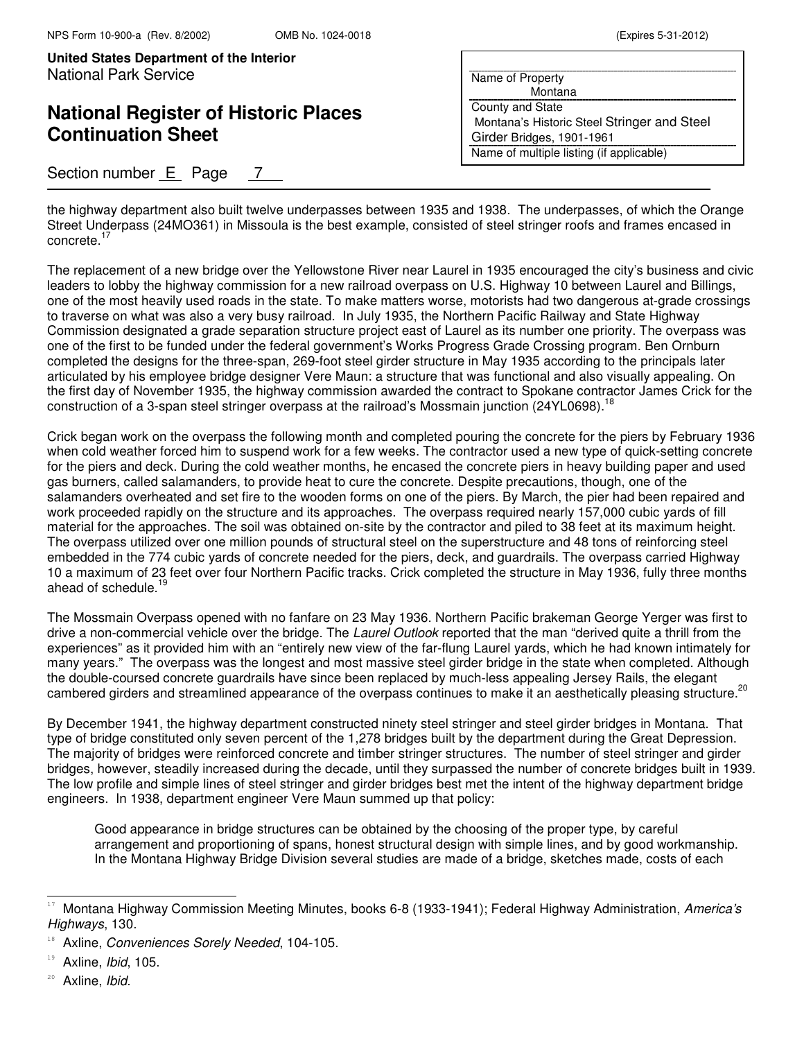## **National Register of Historic Places Continuation Sheet**

### Section number  $E$  Page 7

| Name of Property                            |
|---------------------------------------------|
| Montana                                     |
| County and State                            |
| Montana's Historic Steel Stringer and Steel |
| Girder Bridges, 1901-1961                   |
| Name of multiple listing (if applicable)    |

the highway department also built twelve underpasses between 1935 and 1938. The underpasses, of which the Orange Street Underpass (24MO361) in Missoula is the best example, consisted of steel stringer roofs and frames encased in concrete.<sup>17</sup>

The replacement of a new bridge over the Yellowstone River near Laurel in 1935 encouraged the city's business and civic leaders to lobby the highway commission for a new railroad overpass on U.S. Highway 10 between Laurel and Billings, one of the most heavily used roads in the state. To make matters worse, motorists had two dangerous at-grade crossings to traverse on what was also a very busy railroad. In July 1935, the Northern Pacific Railway and State Highway Commission designated a grade separation structure project east of Laurel as its number one priority. The overpass was one of the first to be funded under the federal government's Works Progress Grade Crossing program. Ben Ornburn completed the designs for the three-span, 269-foot steel girder structure in May 1935 according to the principals later articulated by his employee bridge designer Vere Maun: a structure that was functional and also visually appealing. On the first day of November 1935, the highway commission awarded the contract to Spokane contractor James Crick for the construction of a 3-span steel stringer overpass at the railroad's Mossmain junction (24YL0698).<sup>18</sup>

Crick began work on the overpass the following month and completed pouring the concrete for the piers by February 1936 when cold weather forced him to suspend work for a few weeks. The contractor used a new type of quick-setting concrete for the piers and deck. During the cold weather months, he encased the concrete piers in heavy building paper and used gas burners, called salamanders, to provide heat to cure the concrete. Despite precautions, though, one of the salamanders overheated and set fire to the wooden forms on one of the piers. By March, the pier had been repaired and work proceeded rapidly on the structure and its approaches. The overpass required nearly 157,000 cubic yards of fill material for the approaches. The soil was obtained on-site by the contractor and piled to 38 feet at its maximum height. The overpass utilized over one million pounds of structural steel on the superstructure and 48 tons of reinforcing steel embedded in the 774 cubic yards of concrete needed for the piers, deck, and guardrails. The overpass carried Highway 10 a maximum of 23 feet over four Northern Pacific tracks. Crick completed the structure in May 1936, fully three months ahead of schedule.<sup>19</sup>

The Mossmain Overpass opened with no fanfare on 23 May 1936. Northern Pacific brakeman George Yerger was first to drive a non-commercial vehicle over the bridge. The Laurel Outlook reported that the man "derived quite a thrill from the experiences" as it provided him with an "entirely new view of the far-flung Laurel yards, which he had known intimately for many years." The overpass was the longest and most massive steel girder bridge in the state when completed. Although the double-coursed concrete guardrails have since been replaced by much-less appealing Jersey Rails, the elegant cambered girders and streamlined appearance of the overpass continues to make it an aesthetically pleasing structure.<sup>20</sup>

By December 1941, the highway department constructed ninety steel stringer and steel girder bridges in Montana. That type of bridge constituted only seven percent of the 1,278 bridges built by the department during the Great Depression. The majority of bridges were reinforced concrete and timber stringer structures. The number of steel stringer and girder bridges, however, steadily increased during the decade, until they surpassed the number of concrete bridges built in 1939. The low profile and simple lines of steel stringer and girder bridges best met the intent of the highway department bridge engineers. In 1938, department engineer Vere Maun summed up that policy:

Good appearance in bridge structures can be obtained by the choosing of the proper type, by careful arrangement and proportioning of spans, honest structural design with simple lines, and by good workmanship. In the Montana Highway Bridge Division several studies are made of a bridge, sketches made, costs of each

Montana Highway Commission Meeting Minutes, books 6-8 (1933-1941); Federal Highway Administration, America's Highways, 130.

Axline, Conveniences Sorely Needed, 104-105.

<sup>&</sup>lt;sup>19</sup> Axline, Ibid, 105.

<sup>&</sup>lt;sup>20</sup> Axline, Ibid.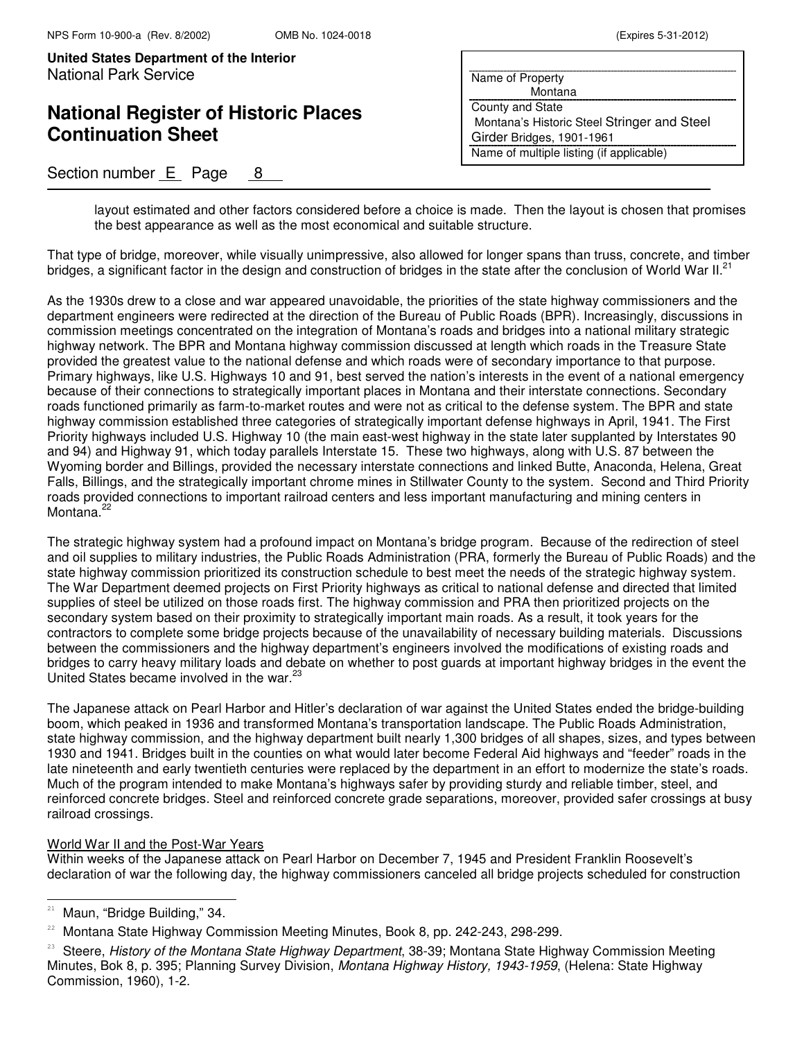# **National Register of Historic Places Continuation Sheet**

## Section number  $E$  Page 8

| Name of Property                            |
|---------------------------------------------|
| Montana                                     |
| County and State                            |
| Montana's Historic Steel Stringer and Steel |
| Girder Bridges, 1901-1961                   |
| Name of multiple listing (if applicable)    |
|                                             |

layout estimated and other factors considered before a choice is made. Then the layout is chosen that promises the best appearance as well as the most economical and suitable structure.

That type of bridge, moreover, while visually unimpressive, also allowed for longer spans than truss, concrete, and timber bridges, a significant factor in the design and construction of bridges in the state after the conclusion of World War II.<sup>21</sup>

As the 1930s drew to a close and war appeared unavoidable, the priorities of the state highway commissioners and the department engineers were redirected at the direction of the Bureau of Public Roads (BPR). Increasingly, discussions in commission meetings concentrated on the integration of Montana's roads and bridges into a national military strategic highway network. The BPR and Montana highway commission discussed at length which roads in the Treasure State provided the greatest value to the national defense and which roads were of secondary importance to that purpose. Primary highways, like U.S. Highways 10 and 91, best served the nation's interests in the event of a national emergency because of their connections to strategically important places in Montana and their interstate connections. Secondary roads functioned primarily as farm-to-market routes and were not as critical to the defense system. The BPR and state highway commission established three categories of strategically important defense highways in April, 1941. The First Priority highways included U.S. Highway 10 (the main east-west highway in the state later supplanted by Interstates 90 and 94) and Highway 91, which today parallels Interstate 15. These two highways, along with U.S. 87 between the Wyoming border and Billings, provided the necessary interstate connections and linked Butte, Anaconda, Helena, Great Falls, Billings, and the strategically important chrome mines in Stillwater County to the system. Second and Third Priority roads provided connections to important railroad centers and less important manufacturing and mining centers in Montana.<sup>22</sup>

The strategic highway system had a profound impact on Montana's bridge program. Because of the redirection of steel and oil supplies to military industries, the Public Roads Administration (PRA, formerly the Bureau of Public Roads) and the state highway commission prioritized its construction schedule to best meet the needs of the strategic highway system. The War Department deemed projects on First Priority highways as critical to national defense and directed that limited supplies of steel be utilized on those roads first. The highway commission and PRA then prioritized projects on the secondary system based on their proximity to strategically important main roads. As a result, it took years for the contractors to complete some bridge projects because of the unavailability of necessary building materials. Discussions between the commissioners and the highway department's engineers involved the modifications of existing roads and bridges to carry heavy military loads and debate on whether to post guards at important highway bridges in the event the United States became involved in the war.<sup>23</sup>

The Japanese attack on Pearl Harbor and Hitler's declaration of war against the United States ended the bridge-building boom, which peaked in 1936 and transformed Montana's transportation landscape. The Public Roads Administration, state highway commission, and the highway department built nearly 1,300 bridges of all shapes, sizes, and types between 1930 and 1941. Bridges built in the counties on what would later become Federal Aid highways and "feeder" roads in the late nineteenth and early twentieth centuries were replaced by the department in an effort to modernize the state's roads. Much of the program intended to make Montana's highways safer by providing sturdy and reliable timber, steel, and reinforced concrete bridges. Steel and reinforced concrete grade separations, moreover, provided safer crossings at busy railroad crossings.

#### World War II and the Post-War Years

Within weeks of the Japanese attack on Pearl Harbor on December 7, 1945 and President Franklin Roosevelt's declaration of war the following day, the highway commissioners canceled all bridge projects scheduled for construction

 $21$  Maun, "Bridge Building," 34.

<sup>22</sup> Montana State Highway Commission Meeting Minutes, Book 8, pp. 242-243, 298-299.

<sup>&</sup>lt;sup>23</sup> Steere, History of the Montana State Highway Department, 38-39; Montana State Highway Commission Meeting Minutes, Bok 8, p. 395; Planning Survey Division, Montana Highway History, 1943-1959, (Helena: State Highway Commission, 1960), 1-2.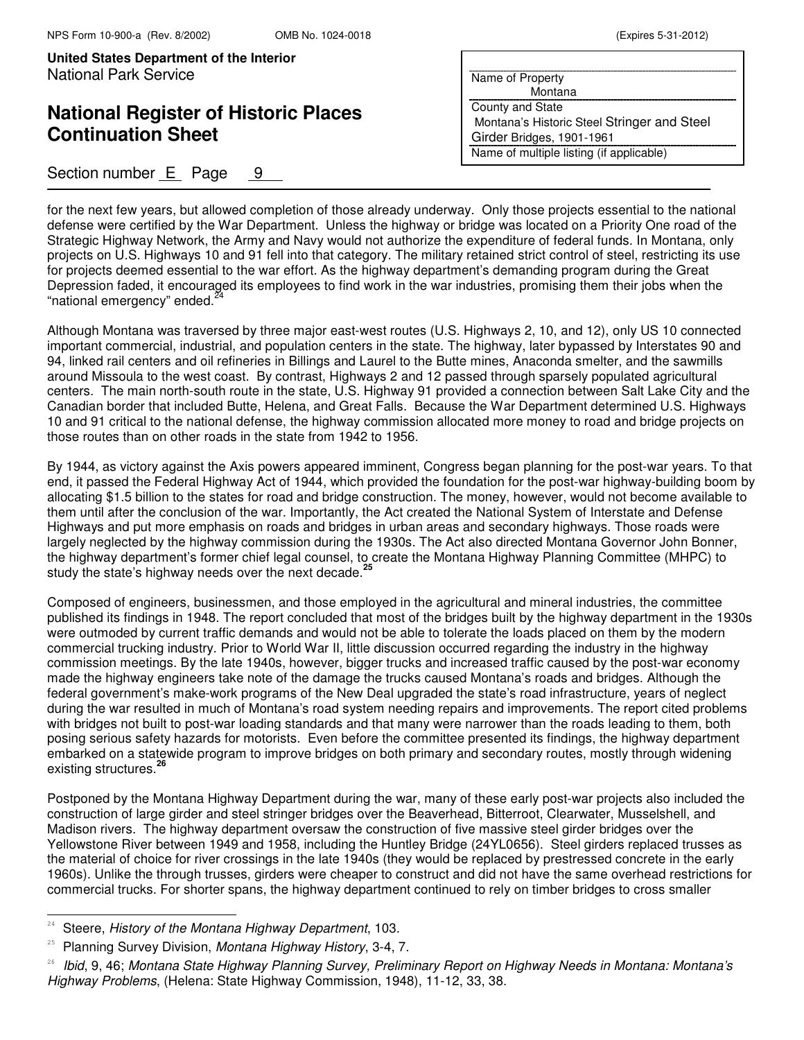## **National Register of Historic Places Continuation Sheet**

### Section number  $E$  Page  $9$

| Name of Property                            |  |
|---------------------------------------------|--|
| Montana                                     |  |
| <b>County and State</b>                     |  |
| Montana's Historic Steel Stringer and Steel |  |
| Girder Bridges, 1901-1961                   |  |
| Name of multiple listing (if applicable)    |  |
|                                             |  |

for the next few years, but allowed completion of those already underway. Only those projects essential to the national defense were certified by the War Department. Unless the highway or bridge was located on a Priority One road of the Strategic Highway Network, the Army and Navy would not authorize the expenditure of federal funds. In Montana, only projects on U.S. Highways 10 and 91 fell into that category. The military retained strict control of steel, restricting its use for projects deemed essential to the war effort. As the highway department's demanding program during the Great Depression faded, it encouraged its employees to find work in the war industries, promising them their jobs when the "national emergency" ended.<sup>2</sup>

Although Montana was traversed by three major east-west routes (U.S. Highways 2, 10, and 12), only US 10 connected important commercial, industrial, and population centers in the state. The highway, later bypassed by Interstates 90 and 94, linked rail centers and oil refineries in Billings and Laurel to the Butte mines, Anaconda smelter, and the sawmills around Missoula to the west coast. By contrast, Highways 2 and 12 passed through sparsely populated agricultural centers. The main north-south route in the state, U.S. Highway 91 provided a connection between Salt Lake City and the Canadian border that included Butte, Helena, and Great Falls. Because the War Department determined U.S. Highways 10 and 91 critical to the national defense, the highway commission allocated more money to road and bridge projects on those routes than on other roads in the state from 1942 to 1956.

By 1944, as victory against the Axis powers appeared imminent, Congress began planning for the post-war years. To that end, it passed the Federal Highway Act of 1944, which provided the foundation for the post-war highway-building boom by allocating \$1.5 billion to the states for road and bridge construction. The money, however, would not become available to them until after the conclusion of the war. Importantly, the Act created the National System of Interstate and Defense Highways and put more emphasis on roads and bridges in urban areas and secondary highways. Those roads were largely neglected by the highway commission during the 1930s. The Act also directed Montana Governor John Bonner, the highway department's former chief legal counsel, to create the Montana Highway Planning Committee (MHPC) to study the state's highway needs over the next decade.**<sup>25</sup>**

Composed of engineers, businessmen, and those employed in the agricultural and mineral industries, the committee published its findings in 1948. The report concluded that most of the bridges built by the highway department in the 1930s were outmoded by current traffic demands and would not be able to tolerate the loads placed on them by the modern commercial trucking industry. Prior to World War II, little discussion occurred regarding the industry in the highway commission meetings. By the late 1940s, however, bigger trucks and increased traffic caused by the post-war economy made the highway engineers take note of the damage the trucks caused Montana's roads and bridges. Although the federal government's make-work programs of the New Deal upgraded the state's road infrastructure, years of neglect during the war resulted in much of Montana's road system needing repairs and improvements. The report cited problems with bridges not built to post-war loading standards and that many were narrower than the roads leading to them, both posing serious safety hazards for motorists. Even before the committee presented its findings, the highway department embarked on a statewide program to improve bridges on both primary and secondary routes, mostly through widening existing structures.**<sup>26</sup>**

Postponed by the Montana Highway Department during the war, many of these early post-war projects also included the construction of large girder and steel stringer bridges over the Beaverhead, Bitterroot, Clearwater, Musselshell, and Madison rivers. The highway department oversaw the construction of five massive steel girder bridges over the Yellowstone River between 1949 and 1958, including the Huntley Bridge (24YL0656). Steel girders replaced trusses as the material of choice for river crossings in the late 1940s (they would be replaced by prestressed concrete in the early 1960s). Unlike the through trusses, girders were cheaper to construct and did not have the same overhead restrictions for commercial trucks. For shorter spans, the highway department continued to rely on timber bridges to cross smaller

j.

<sup>&</sup>lt;sup>24</sup> Steere, History of the Montana Highway Department, 103.

 $25$  Planning Survey Division, Montana Highway History, 3-4, 7.

<sup>&</sup>lt;sup>26</sup> Ibid, 9, 46; Montana State Highway Planning Survey, Preliminary Report on Highway Needs in Montana: Montana's Highway Problems, (Helena: State Highway Commission, 1948), 11-12, 33, 38.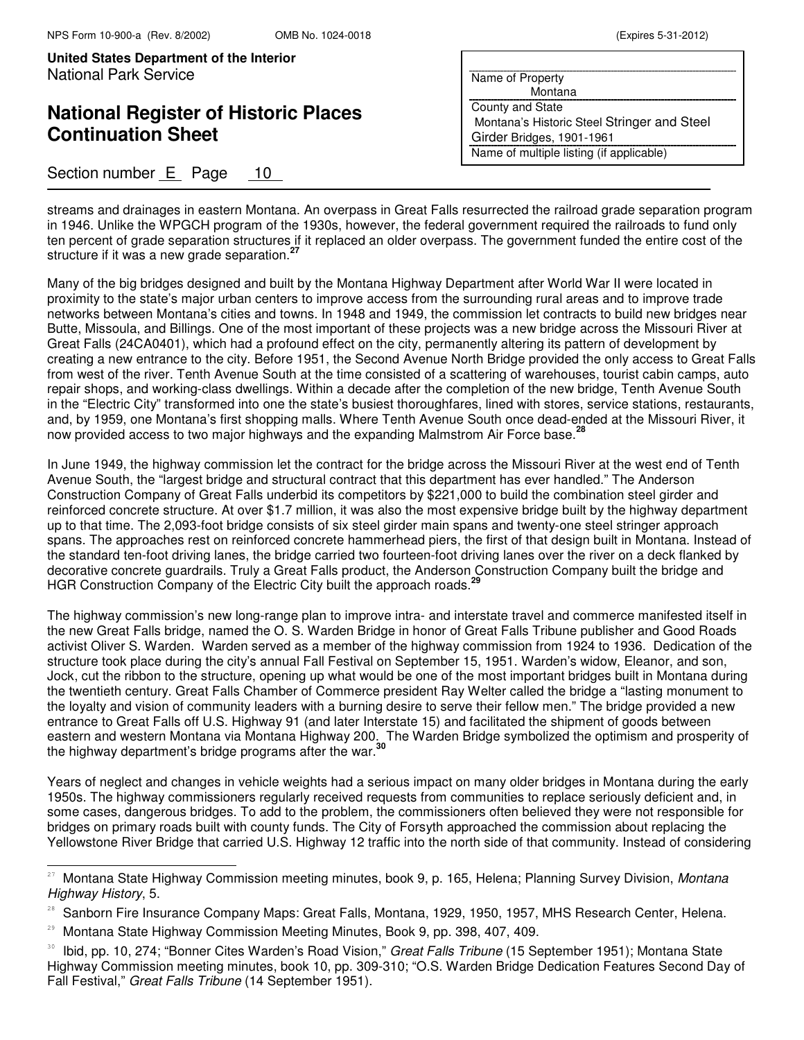j.

**United States Department of the Interior** National Park Service

# **National Register of Historic Places Continuation Sheet**

## Section number E Page 10

| Name of Property                            |
|---------------------------------------------|
| Montana                                     |
| <b>County and State</b>                     |
| Montana's Historic Steel Stringer and Steel |
| Girder Bridges, 1901-1961                   |
| Name of multiple listing (if applicable)    |
|                                             |

streams and drainages in eastern Montana. An overpass in Great Falls resurrected the railroad grade separation program in 1946. Unlike the WPGCH program of the 1930s, however, the federal government required the railroads to fund only ten percent of grade separation structures if it replaced an older overpass. The government funded the entire cost of the structure if it was a new grade separation.**<sup>27</sup>**

Many of the big bridges designed and built by the Montana Highway Department after World War II were located in proximity to the state's major urban centers to improve access from the surrounding rural areas and to improve trade networks between Montana's cities and towns. In 1948 and 1949, the commission let contracts to build new bridges near Butte, Missoula, and Billings. One of the most important of these projects was a new bridge across the Missouri River at Great Falls (24CA0401), which had a profound effect on the city, permanently altering its pattern of development by creating a new entrance to the city. Before 1951, the Second Avenue North Bridge provided the only access to Great Falls from west of the river. Tenth Avenue South at the time consisted of a scattering of warehouses, tourist cabin camps, auto repair shops, and working-class dwellings. Within a decade after the completion of the new bridge, Tenth Avenue South in the "Electric City" transformed into one the state's busiest thoroughfares, lined with stores, service stations, restaurants, and, by 1959, one Montana's first shopping malls. Where Tenth Avenue South once dead-ended at the Missouri River, it now provided access to two major highways and the expanding Malmstrom Air Force base.**<sup>28</sup>**

In June 1949, the highway commission let the contract for the bridge across the Missouri River at the west end of Tenth Avenue South, the "largest bridge and structural contract that this department has ever handled." The Anderson Construction Company of Great Falls underbid its competitors by \$221,000 to build the combination steel girder and reinforced concrete structure. At over \$1.7 million, it was also the most expensive bridge built by the highway department up to that time. The 2,093-foot bridge consists of six steel girder main spans and twenty-one steel stringer approach spans. The approaches rest on reinforced concrete hammerhead piers, the first of that design built in Montana. Instead of the standard ten-foot driving lanes, the bridge carried two fourteen-foot driving lanes over the river on a deck flanked by decorative concrete guardrails. Truly a Great Falls product, the Anderson Construction Company built the bridge and HGR Construction Company of the Electric City built the approach roads.<sup>2</sup>

The highway commission's new long-range plan to improve intra- and interstate travel and commerce manifested itself in the new Great Falls bridge, named the O. S. Warden Bridge in honor of Great Falls Tribune publisher and Good Roads activist Oliver S. Warden. Warden served as a member of the highway commission from 1924 to 1936. Dedication of the structure took place during the city's annual Fall Festival on September 15, 1951. Warden's widow, Eleanor, and son, Jock, cut the ribbon to the structure, opening up what would be one of the most important bridges built in Montana during the twentieth century. Great Falls Chamber of Commerce president Ray Welter called the bridge a "lasting monument to the loyalty and vision of community leaders with a burning desire to serve their fellow men." The bridge provided a new entrance to Great Falls off U.S. Highway 91 (and later Interstate 15) and facilitated the shipment of goods between eastern and western Montana via Montana Highway 200. The Warden Bridge symbolized the optimism and prosperity of the highway department's bridge programs after the war.**<sup>30</sup>**

Years of neglect and changes in vehicle weights had a serious impact on many older bridges in Montana during the early 1950s. The highway commissioners regularly received requests from communities to replace seriously deficient and, in some cases, dangerous bridges. To add to the problem, the commissioners often believed they were not responsible for bridges on primary roads built with county funds. The City of Forsyth approached the commission about replacing the Yellowstone River Bridge that carried U.S. Highway 12 traffic into the north side of that community. Instead of considering

<sup>&</sup>lt;sup>27</sup> Montana State Highway Commission meeting minutes, book 9, p. 165, Helena; Planning Survey Division, Montana Highway History, 5.

Sanborn Fire Insurance Company Maps: Great Falls, Montana, 1929, 1950, 1957, MHS Research Center, Helena.

<sup>&</sup>lt;sup>29</sup> Montana State Highway Commission Meeting Minutes, Book 9, pp. 398, 407, 409.

Ibid, pp. 10, 274; "Bonner Cites Warden's Road Vision," Great Falls Tribune (15 September 1951); Montana State Highway Commission meeting minutes, book 10, pp. 309-310; "O.S. Warden Bridge Dedication Features Second Day of Fall Festival," Great Falls Tribune (14 September 1951).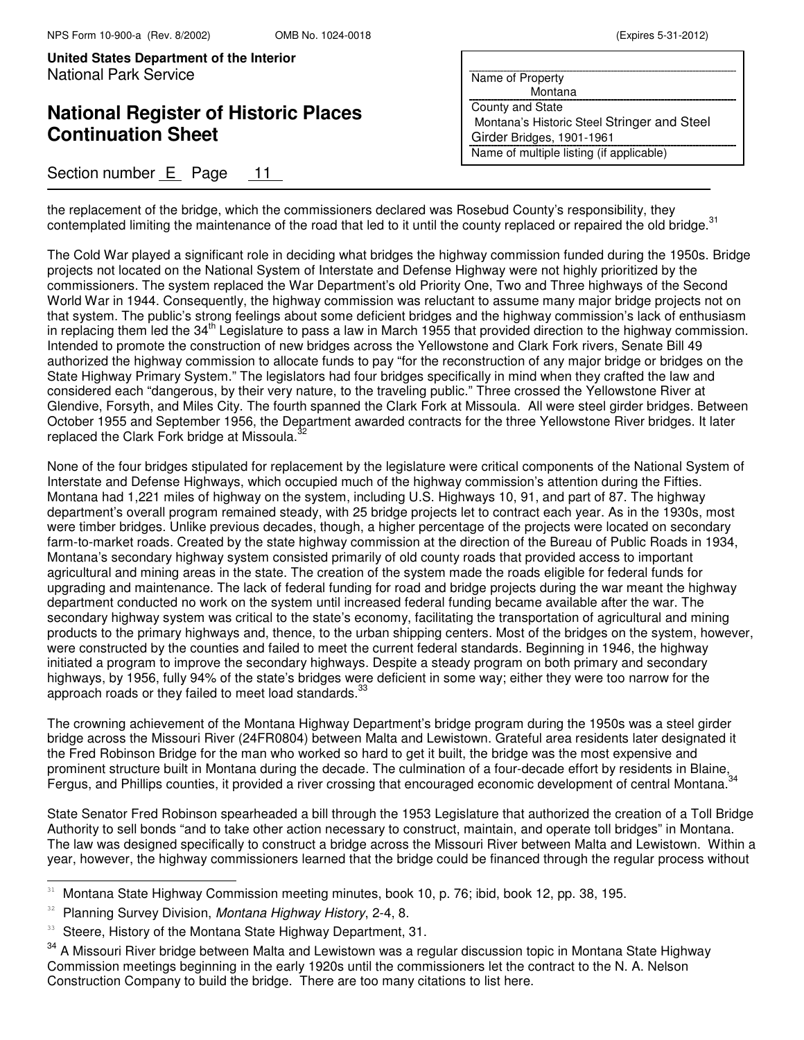# **National Register of Historic Places Continuation Sheet**

## Section number E Page 11

| Name of Property                            |
|---------------------------------------------|
| Montana                                     |
| County and State                            |
| Montana's Historic Steel Stringer and Steel |
| Girder Bridges, 1901-1961                   |
| Name of multiple listing (if applicable)    |

the replacement of the bridge, which the commissioners declared was Rosebud County's responsibility, they contemplated limiting the maintenance of the road that led to it until the county replaced or repaired the old bridge.<sup>31</sup>

The Cold War played a significant role in deciding what bridges the highway commission funded during the 1950s. Bridge projects not located on the National System of Interstate and Defense Highway were not highly prioritized by the commissioners. The system replaced the War Department's old Priority One, Two and Three highways of the Second World War in 1944. Consequently, the highway commission was reluctant to assume many major bridge projects not on that system. The public's strong feelings about some deficient bridges and the highway commission's lack of enthusiasm in replacing them led the 34<sup>th</sup> Legislature to pass a law in March 1955 that provided direction to the highway commission. Intended to promote the construction of new bridges across the Yellowstone and Clark Fork rivers, Senate Bill 49 authorized the highway commission to allocate funds to pay "for the reconstruction of any major bridge or bridges on the State Highway Primary System." The legislators had four bridges specifically in mind when they crafted the law and considered each "dangerous, by their very nature, to the traveling public." Three crossed the Yellowstone River at Glendive, Forsyth, and Miles City. The fourth spanned the Clark Fork at Missoula. All were steel girder bridges. Between October 1955 and September 1956, the Department awarded contracts for the three Yellowstone River bridges. It later replaced the Clark Fork bridge at Missoula.<sup>32</sup>

None of the four bridges stipulated for replacement by the legislature were critical components of the National System of Interstate and Defense Highways, which occupied much of the highway commission's attention during the Fifties. Montana had 1,221 miles of highway on the system, including U.S. Highways 10, 91, and part of 87. The highway department's overall program remained steady, with 25 bridge projects let to contract each year. As in the 1930s, most were timber bridges. Unlike previous decades, though, a higher percentage of the projects were located on secondary farm-to-market roads. Created by the state highway commission at the direction of the Bureau of Public Roads in 1934, Montana's secondary highway system consisted primarily of old county roads that provided access to important agricultural and mining areas in the state. The creation of the system made the roads eligible for federal funds for upgrading and maintenance. The lack of federal funding for road and bridge projects during the war meant the highway department conducted no work on the system until increased federal funding became available after the war. The secondary highway system was critical to the state's economy, facilitating the transportation of agricultural and mining products to the primary highways and, thence, to the urban shipping centers. Most of the bridges on the system, however, were constructed by the counties and failed to meet the current federal standards. Beginning in 1946, the highway initiated a program to improve the secondary highways. Despite a steady program on both primary and secondary highways, by 1956, fully 94% of the state's bridges were deficient in some way; either they were too narrow for the approach roads or they failed to meet load standards.  $33$ 

The crowning achievement of the Montana Highway Department's bridge program during the 1950s was a steel girder bridge across the Missouri River (24FR0804) between Malta and Lewistown. Grateful area residents later designated it the Fred Robinson Bridge for the man who worked so hard to get it built, the bridge was the most expensive and prominent structure built in Montana during the decade. The culmination of a four-decade effort by residents in Blaine, Fergus, and Phillips counties, it provided a river crossing that encouraged economic development of central Montana.<sup>34</sup>

State Senator Fred Robinson spearheaded a bill through the 1953 Legislature that authorized the creation of a Toll Bridge Authority to sell bonds "and to take other action necessary to construct, maintain, and operate toll bridges" in Montana. The law was designed specifically to construct a bridge across the Missouri River between Malta and Lewistown. Within a year, however, the highway commissioners learned that the bridge could be financed through the regular process without

<sup>&</sup>lt;sup>31</sup> Montana State Highway Commission meeting minutes, book 10, p. 76; ibid, book 12, pp. 38, 195.

<sup>&</sup>lt;sup>32</sup> Planning Survey Division, Montana Highway History, 2-4, 8.

<sup>&</sup>lt;sup>33</sup> Steere, History of the Montana State Highway Department, 31.

<sup>&</sup>lt;sup>34</sup> A Missouri River bridge between Malta and Lewistown was a regular discussion topic in Montana State Highway Commission meetings beginning in the early 1920s until the commissioners let the contract to the N. A. Nelson Construction Company to build the bridge. There are too many citations to list here.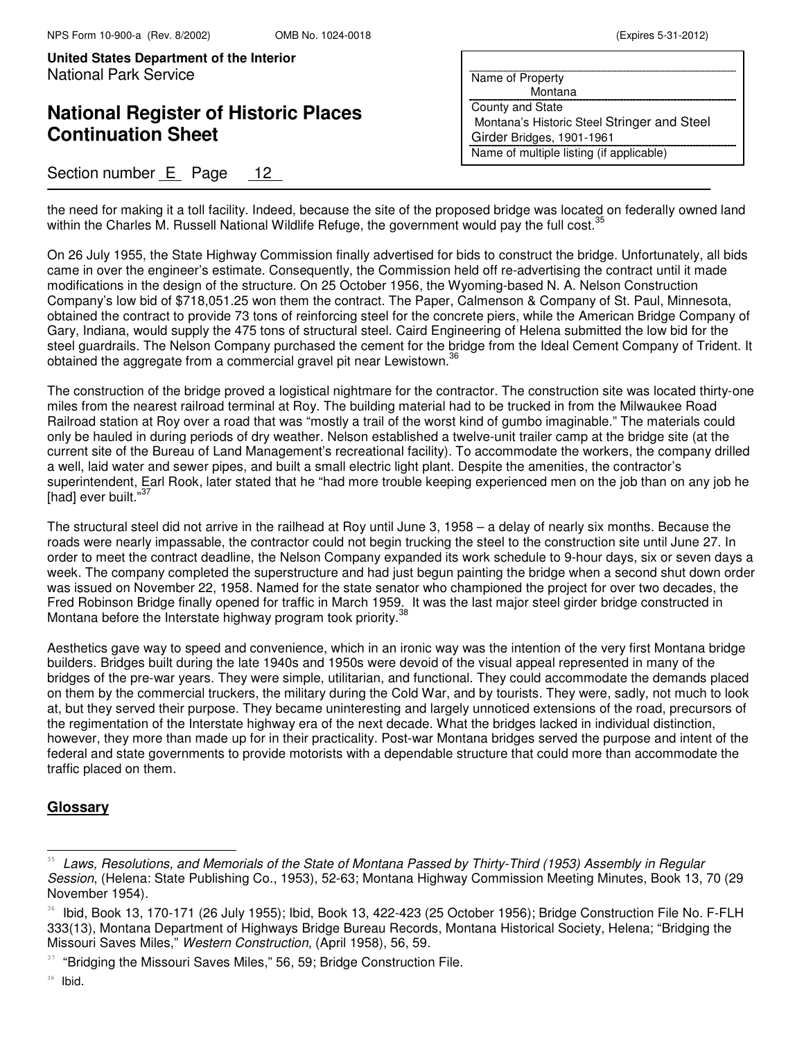# **National Register of Historic Places Continuation Sheet**

## Section number E Page 12

| Name of Property                            |
|---------------------------------------------|
| Montana                                     |
| County and State                            |
| Montana's Historic Steel Stringer and Steel |
| Girder Bridges, 1901-1961                   |
| Name of multiple listing (if applicable)    |

the need for making it a toll facility. Indeed, because the site of the proposed bridge was located on federally owned land within the Charles M. Russell National Wildlife Refuge, the government would pay the full cost.<sup>35</sup>

On 26 July 1955, the State Highway Commission finally advertised for bids to construct the bridge. Unfortunately, all bids came in over the engineer's estimate. Consequently, the Commission held off re-advertising the contract until it made modifications in the design of the structure. On 25 October 1956, the Wyoming-based N. A. Nelson Construction Company's low bid of \$718,051.25 won them the contract. The Paper, Calmenson & Company of St. Paul, Minnesota, obtained the contract to provide 73 tons of reinforcing steel for the concrete piers, while the American Bridge Company of Gary, Indiana, would supply the 475 tons of structural steel. Caird Engineering of Helena submitted the low bid for the steel guardrails. The Nelson Company purchased the cement for the bridge from the Ideal Cement Company of Trident. It obtained the aggregate from a commercial gravel pit near Lewistown.<sup>36</sup>

The construction of the bridge proved a logistical nightmare for the contractor. The construction site was located thirty-one miles from the nearest railroad terminal at Roy. The building material had to be trucked in from the Milwaukee Road Railroad station at Roy over a road that was "mostly a trail of the worst kind of gumbo imaginable." The materials could only be hauled in during periods of dry weather. Nelson established a twelve-unit trailer camp at the bridge site (at the current site of the Bureau of Land Management's recreational facility). To accommodate the workers, the company drilled a well, laid water and sewer pipes, and built a small electric light plant. Despite the amenities, the contractor's superintendent, Earl Rook, later stated that he "had more trouble keeping experienced men on the job than on any job he [had] ever built."<sup>37</sup>

The structural steel did not arrive in the railhead at Roy until June 3, 1958 – a delay of nearly six months. Because the roads were nearly impassable, the contractor could not begin trucking the steel to the construction site until June 27. In order to meet the contract deadline, the Nelson Company expanded its work schedule to 9-hour days, six or seven days a week. The company completed the superstructure and had just begun painting the bridge when a second shut down order was issued on November 22, 1958. Named for the state senator who championed the project for over two decades, the Fred Robinson Bridge finally opened for traffic in March 1959. It was the last major steel girder bridge constructed in Montana before the Interstate highway program took priority.<sup>38</sup>

Aesthetics gave way to speed and convenience, which in an ironic way was the intention of the very first Montana bridge builders. Bridges built during the late 1940s and 1950s were devoid of the visual appeal represented in many of the bridges of the pre-war years. They were simple, utilitarian, and functional. They could accommodate the demands placed on them by the commercial truckers, the military during the Cold War, and by tourists. They were, sadly, not much to look at, but they served their purpose. They became uninteresting and largely unnoticed extensions of the road, precursors of the regimentation of the Interstate highway era of the next decade. What the bridges lacked in individual distinction, however, they more than made up for in their practicality. Post-war Montana bridges served the purpose and intent of the federal and state governments to provide motorists with a dependable structure that could more than accommodate the traffic placed on them.

### **Glossary**

<sup>&</sup>lt;sup>35</sup> Laws, Resolutions, and Memorials of the State of Montana Passed by Thirty-Third (1953) Assembly in Regular Session, (Helena: State Publishing Co., 1953), 52-63; Montana Highway Commission Meeting Minutes, Book 13, 70 (29 November 1954).

<sup>&</sup>lt;sup>36</sup> Ibid, Book 13, 170-171 (26 July 1955); Ibid, Book 13, 422-423 (25 October 1956); Bridge Construction File No. F-FLH 333(13), Montana Department of Highways Bridge Bureau Records, Montana Historical Society, Helena; "Bridging the Missouri Saves Miles," Western Construction, (April 1958), 56, 59.

<sup>&</sup>lt;sup>37</sup> "Bridging the Missouri Saves Miles," 56, 59; Bridge Construction File.

<sup>38</sup> Ibid.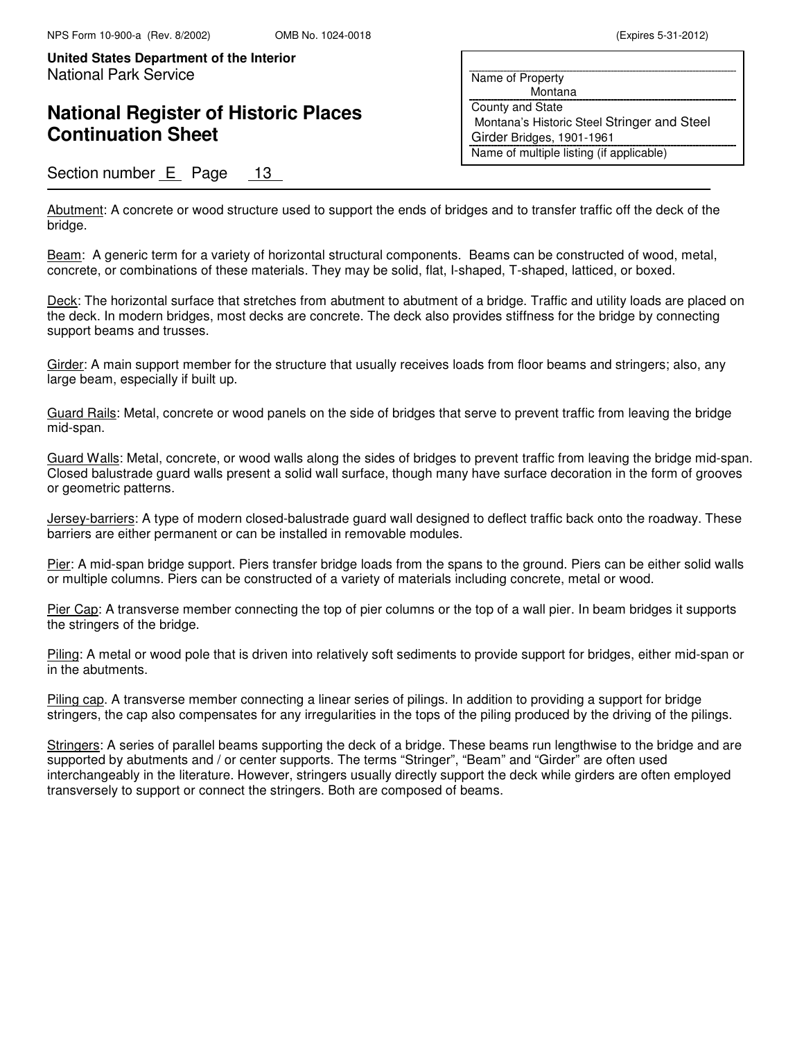## **National Register of Historic Places Continuation Sheet**

### Section number E Page 13

Name of Property Montana County and State Montana's Historic Steel Stringer and Steel Girder Bridges, 1901-1961 Name of multiple listing (if applicable)

Abutment: A concrete or wood structure used to support the ends of bridges and to transfer traffic off the deck of the bridge.

Beam: A generic term for a variety of horizontal structural components. Beams can be constructed of wood, metal, concrete, or combinations of these materials. They may be solid, flat, I-shaped, T-shaped, latticed, or boxed.

Deck: The horizontal surface that stretches from abutment to abutment of a bridge. Traffic and utility loads are placed on the deck. In modern bridges, most decks are concrete. The deck also provides stiffness for the bridge by connecting support beams and trusses.

Girder: A main support member for the structure that usually receives loads from floor beams and stringers; also, any large beam, especially if built up.

Guard Rails: Metal, concrete or wood panels on the side of bridges that serve to prevent traffic from leaving the bridge mid-span.

Guard Walls: Metal, concrete, or wood walls along the sides of bridges to prevent traffic from leaving the bridge mid-span. Closed balustrade guard walls present a solid wall surface, though many have surface decoration in the form of grooves or geometric patterns.

Jersey-barriers: A type of modern closed-balustrade guard wall designed to deflect traffic back onto the roadway. These barriers are either permanent or can be installed in removable modules.

Pier: A mid-span bridge support. Piers transfer bridge loads from the spans to the ground. Piers can be either solid walls or multiple columns. Piers can be constructed of a variety of materials including concrete, metal or wood.

Pier Cap: A transverse member connecting the top of pier columns or the top of a wall pier. In beam bridges it supports the stringers of the bridge.

Piling: A metal or wood pole that is driven into relatively soft sediments to provide support for bridges, either mid-span or in the abutments.

Piling cap. A transverse member connecting a linear series of pilings. In addition to providing a support for bridge stringers, the cap also compensates for any irregularities in the tops of the piling produced by the driving of the pilings.

Stringers: A series of parallel beams supporting the deck of a bridge. These beams run lengthwise to the bridge and are supported by abutments and / or center supports. The terms "Stringer", "Beam" and "Girder" are often used interchangeably in the literature. However, stringers usually directly support the deck while girders are often employed transversely to support or connect the stringers. Both are composed of beams.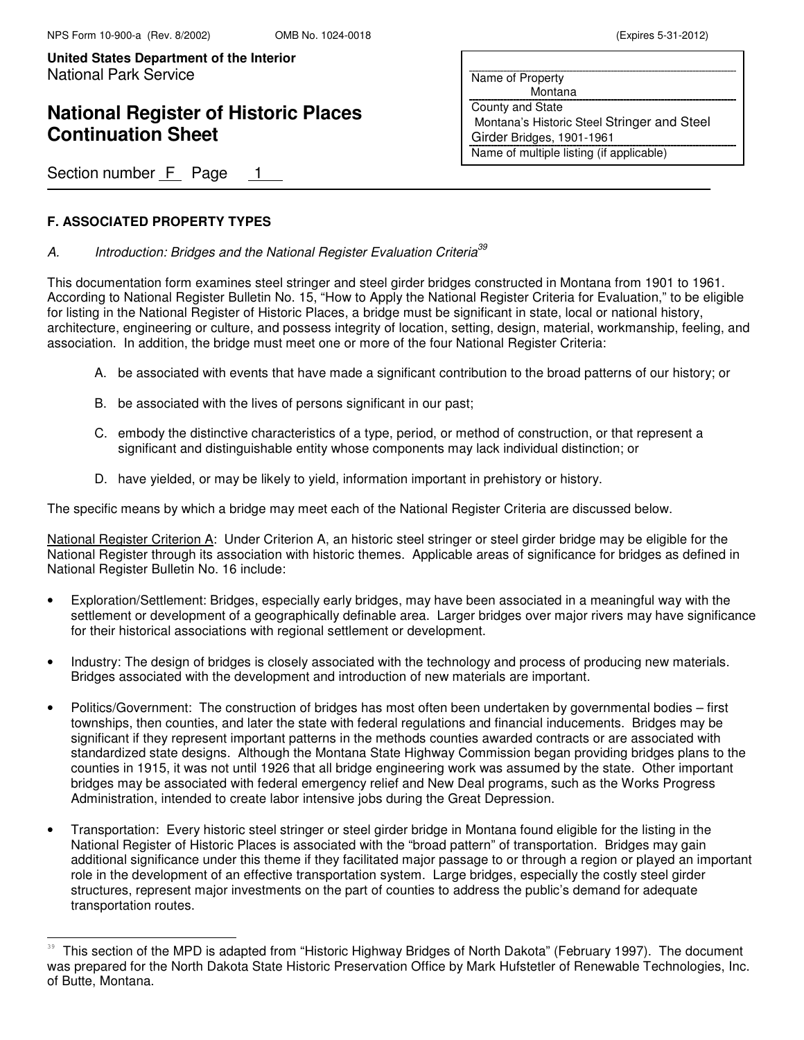## **National Register of Historic Places Continuation Sheet**

Section number F Page 1

#### **F. ASSOCIATED PROPERTY TYPES**

L

#### A. Introduction: Bridges and the National Register Evaluation Criteria<sup>39</sup>

This documentation form examines steel stringer and steel girder bridges constructed in Montana from 1901 to 1961. According to National Register Bulletin No. 15, "How to Apply the National Register Criteria for Evaluation," to be eligible for listing in the National Register of Historic Places, a bridge must be significant in state, local or national history, architecture, engineering or culture, and possess integrity of location, setting, design, material, workmanship, feeling, and association. In addition, the bridge must meet one or more of the four National Register Criteria:

- A. be associated with events that have made a significant contribution to the broad patterns of our history; or
- B. be associated with the lives of persons significant in our past;
- C. embody the distinctive characteristics of a type, period, or method of construction, or that represent a significant and distinguishable entity whose components may lack individual distinction; or
- D. have yielded, or may be likely to yield, information important in prehistory or history.

The specific means by which a bridge may meet each of the National Register Criteria are discussed below.

National Register Criterion A: Under Criterion A, an historic steel stringer or steel girder bridge may be eligible for the National Register through its association with historic themes. Applicable areas of significance for bridges as defined in National Register Bulletin No. 16 include:

- Exploration/Settlement: Bridges, especially early bridges, may have been associated in a meaningful way with the settlement or development of a geographically definable area. Larger bridges over major rivers may have significance for their historical associations with regional settlement or development.
- Industry: The design of bridges is closely associated with the technology and process of producing new materials. Bridges associated with the development and introduction of new materials are important.
- Politics/Government: The construction of bridges has most often been undertaken by governmental bodies first townships, then counties, and later the state with federal regulations and financial inducements. Bridges may be significant if they represent important patterns in the methods counties awarded contracts or are associated with standardized state designs. Although the Montana State Highway Commission began providing bridges plans to the counties in 1915, it was not until 1926 that all bridge engineering work was assumed by the state. Other important bridges may be associated with federal emergency relief and New Deal programs, such as the Works Progress Administration, intended to create labor intensive jobs during the Great Depression.
- Transportation: Every historic steel stringer or steel girder bridge in Montana found eligible for the listing in the National Register of Historic Places is associated with the "broad pattern" of transportation. Bridges may gain additional significance under this theme if they facilitated major passage to or through a region or played an important role in the development of an effective transportation system. Large bridges, especially the costly steel girder structures, represent major investments on the part of counties to address the public's demand for adequate transportation routes.

<sup>39</sup> This section of the MPD is adapted from "Historic Highway Bridges of North Dakota" (February 1997). The document was prepared for the North Dakota State Historic Preservation Office by Mark Hufstetler of Renewable Technologies, Inc. of Butte, Montana.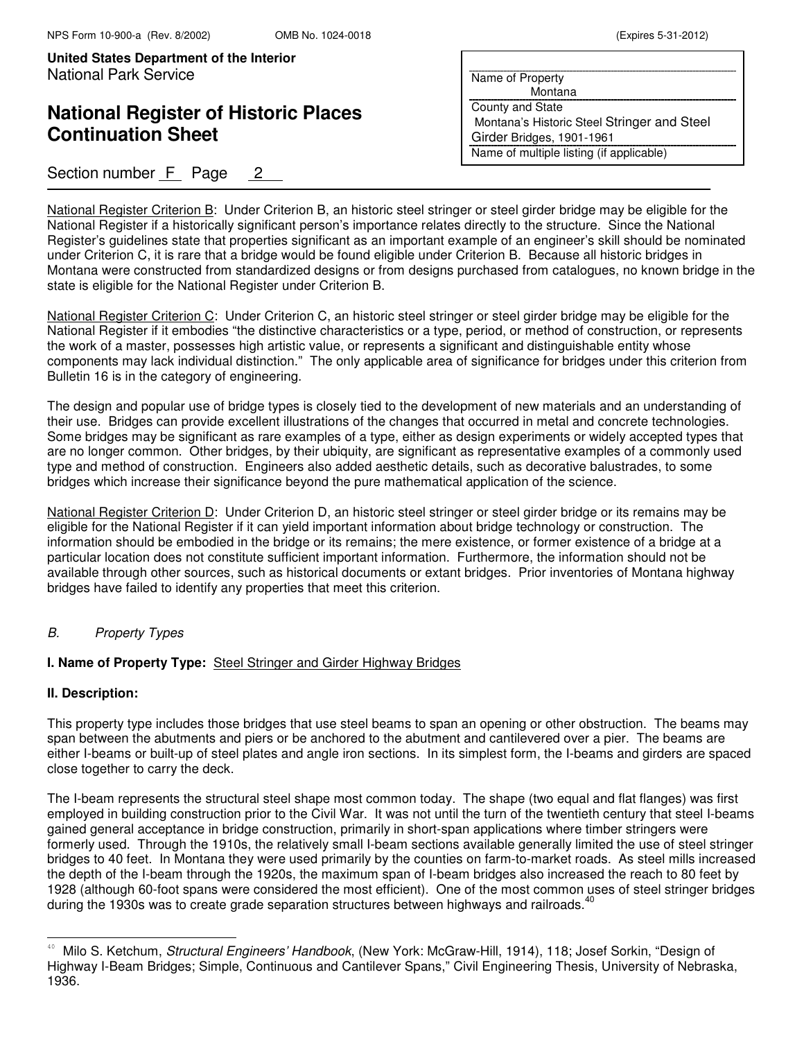## **National Register of Historic Places Continuation Sheet**

### Section number F Page 2

| Name of Property                            |
|---------------------------------------------|
| Montana                                     |
| County and State                            |
| Montana's Historic Steel Stringer and Steel |
| Girder Bridges, 1901-1961                   |
| Name of multiple listing (if applicable)    |

National Register Criterion B: Under Criterion B, an historic steel stringer or steel girder bridge may be eligible for the National Register if a historically significant person's importance relates directly to the structure. Since the National Register's guidelines state that properties significant as an important example of an engineer's skill should be nominated under Criterion C, it is rare that a bridge would be found eligible under Criterion B. Because all historic bridges in Montana were constructed from standardized designs or from designs purchased from catalogues, no known bridge in the state is eligible for the National Register under Criterion B.

National Register Criterion C: Under Criterion C, an historic steel stringer or steel girder bridge may be eligible for the National Register if it embodies "the distinctive characteristics or a type, period, or method of construction, or represents the work of a master, possesses high artistic value, or represents a significant and distinguishable entity whose components may lack individual distinction." The only applicable area of significance for bridges under this criterion from Bulletin 16 is in the category of engineering.

The design and popular use of bridge types is closely tied to the development of new materials and an understanding of their use. Bridges can provide excellent illustrations of the changes that occurred in metal and concrete technologies. Some bridges may be significant as rare examples of a type, either as design experiments or widely accepted types that are no longer common. Other bridges, by their ubiquity, are significant as representative examples of a commonly used type and method of construction. Engineers also added aesthetic details, such as decorative balustrades, to some bridges which increase their significance beyond the pure mathematical application of the science.

National Register Criterion D: Under Criterion D, an historic steel stringer or steel girder bridge or its remains may be eligible for the National Register if it can yield important information about bridge technology or construction. The information should be embodied in the bridge or its remains; the mere existence, or former existence of a bridge at a particular location does not constitute sufficient important information. Furthermore, the information should not be available through other sources, such as historical documents or extant bridges. Prior inventories of Montana highway bridges have failed to identify any properties that meet this criterion.

### B. Property Types

#### **I. Name of Property Type:** Steel Stringer and Girder Highway Bridges

#### **II. Description:**

L

This property type includes those bridges that use steel beams to span an opening or other obstruction. The beams may span between the abutments and piers or be anchored to the abutment and cantilevered over a pier. The beams are either I-beams or built-up of steel plates and angle iron sections. In its simplest form, the I-beams and girders are spaced close together to carry the deck.

The I-beam represents the structural steel shape most common today. The shape (two equal and flat flanges) was first employed in building construction prior to the Civil War. It was not until the turn of the twentieth century that steel I-beams gained general acceptance in bridge construction, primarily in short-span applications where timber stringers were formerly used. Through the 1910s, the relatively small I-beam sections available generally limited the use of steel stringer bridges to 40 feet. In Montana they were used primarily by the counties on farm-to-market roads. As steel mills increased the depth of the I-beam through the 1920s, the maximum span of I-beam bridges also increased the reach to 80 feet by 1928 (although 60-foot spans were considered the most efficient). One of the most common uses of steel stringer bridges during the 1930s was to create grade separation structures between highways and railroads.<sup>40</sup>

Milo S. Ketchum, Structural Engineers' Handbook, (New York: McGraw-Hill, 1914), 118; Josef Sorkin, "Design of Highway I-Beam Bridges; Simple, Continuous and Cantilever Spans," Civil Engineering Thesis, University of Nebraska, 1936.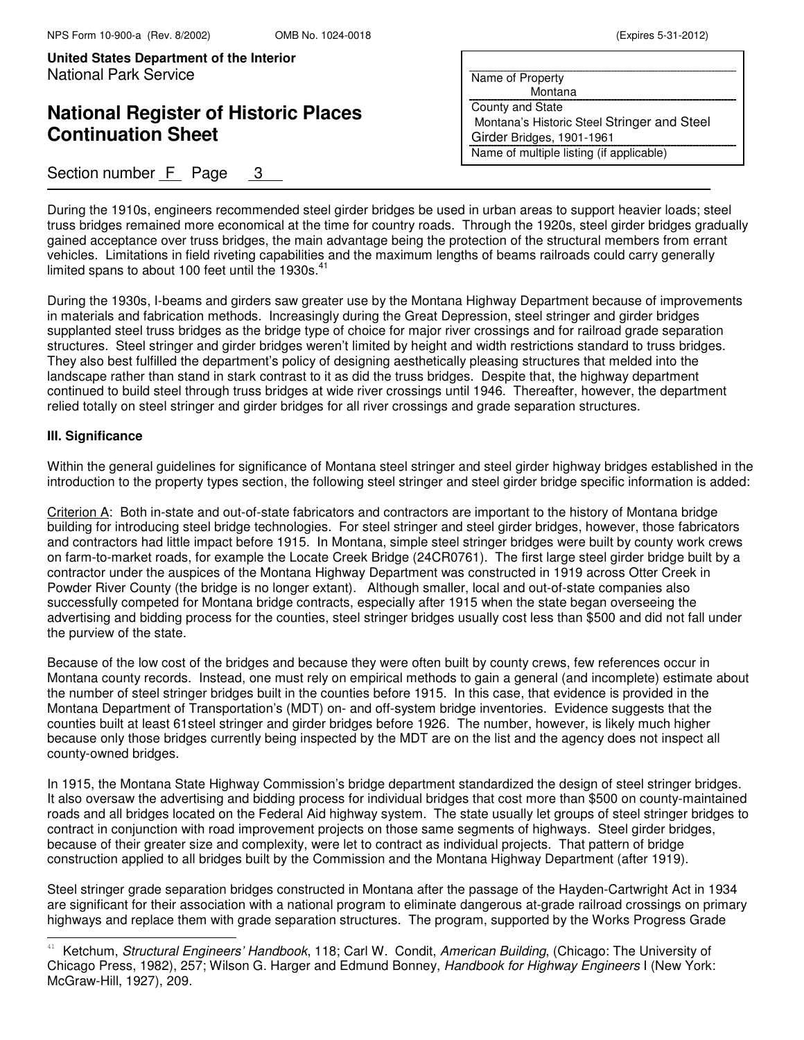## **National Register of Historic Places Continuation Sheet**

### Section number  $F$  Page 3

| Name of Property                            |
|---------------------------------------------|
| Montana                                     |
| County and State                            |
| Montana's Historic Steel Stringer and Steel |
| Girder Bridges, 1901-1961                   |
| Name of multiple listing (if applicable)    |

During the 1910s, engineers recommended steel girder bridges be used in urban areas to support heavier loads; steel truss bridges remained more economical at the time for country roads. Through the 1920s, steel girder bridges gradually gained acceptance over truss bridges, the main advantage being the protection of the structural members from errant vehicles. Limitations in field riveting capabilities and the maximum lengths of beams railroads could carry generally limited spans to about 100 feet until the 1930s.<sup>41</sup>

During the 1930s, I-beams and girders saw greater use by the Montana Highway Department because of improvements in materials and fabrication methods. Increasingly during the Great Depression, steel stringer and girder bridges supplanted steel truss bridges as the bridge type of choice for major river crossings and for railroad grade separation structures. Steel stringer and girder bridges weren't limited by height and width restrictions standard to truss bridges. They also best fulfilled the department's policy of designing aesthetically pleasing structures that melded into the landscape rather than stand in stark contrast to it as did the truss bridges. Despite that, the highway department continued to build steel through truss bridges at wide river crossings until 1946. Thereafter, however, the department relied totally on steel stringer and girder bridges for all river crossings and grade separation structures.

#### **III. Significance**

L

Within the general guidelines for significance of Montana steel stringer and steel girder highway bridges established in the introduction to the property types section, the following steel stringer and steel girder bridge specific information is added:

Criterion A: Both in-state and out-of-state fabricators and contractors are important to the history of Montana bridge building for introducing steel bridge technologies. For steel stringer and steel girder bridges, however, those fabricators and contractors had little impact before 1915. In Montana, simple steel stringer bridges were built by county work crews on farm-to-market roads, for example the Locate Creek Bridge (24CR0761). The first large steel girder bridge built by a contractor under the auspices of the Montana Highway Department was constructed in 1919 across Otter Creek in Powder River County (the bridge is no longer extant). Although smaller, local and out-of-state companies also successfully competed for Montana bridge contracts, especially after 1915 when the state began overseeing the advertising and bidding process for the counties, steel stringer bridges usually cost less than \$500 and did not fall under the purview of the state.

Because of the low cost of the bridges and because they were often built by county crews, few references occur in Montana county records. Instead, one must rely on empirical methods to gain a general (and incomplete) estimate about the number of steel stringer bridges built in the counties before 1915. In this case, that evidence is provided in the Montana Department of Transportation's (MDT) on- and off-system bridge inventories. Evidence suggests that the counties built at least 61steel stringer and girder bridges before 1926. The number, however, is likely much higher because only those bridges currently being inspected by the MDT are on the list and the agency does not inspect all county-owned bridges.

In 1915, the Montana State Highway Commission's bridge department standardized the design of steel stringer bridges. It also oversaw the advertising and bidding process for individual bridges that cost more than \$500 on county-maintained roads and all bridges located on the Federal Aid highway system. The state usually let groups of steel stringer bridges to contract in conjunction with road improvement projects on those same segments of highways. Steel girder bridges, because of their greater size and complexity, were let to contract as individual projects. That pattern of bridge construction applied to all bridges built by the Commission and the Montana Highway Department (after 1919).

Steel stringer grade separation bridges constructed in Montana after the passage of the Hayden-Cartwright Act in 1934 are significant for their association with a national program to eliminate dangerous at-grade railroad crossings on primary highways and replace them with grade separation structures. The program, supported by the Works Progress Grade

<sup>41</sup> Ketchum, Structural Engineers' Handbook, 118; Carl W. Condit, American Building, (Chicago: The University of Chicago Press, 1982), 257; Wilson G. Harger and Edmund Bonney, Handbook for Highway Engineers I (New York: McGraw-Hill, 1927), 209.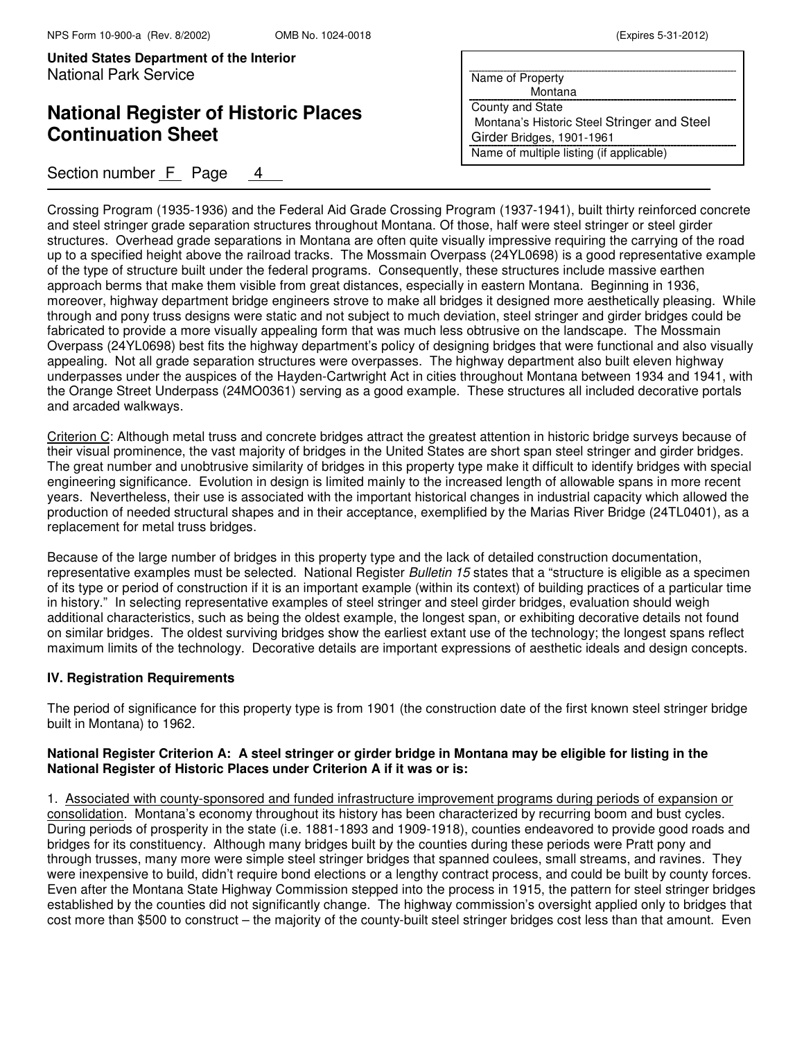## **National Register of Historic Places Continuation Sheet**

### Section number F Page 4

| Name of Property                            |
|---------------------------------------------|
| Montana                                     |
| County and State                            |
| Montana's Historic Steel Stringer and Steel |
| Girder Bridges, 1901-1961                   |
| Name of multiple listing (if applicable)    |

Crossing Program (1935-1936) and the Federal Aid Grade Crossing Program (1937-1941), built thirty reinforced concrete and steel stringer grade separation structures throughout Montana. Of those, half were steel stringer or steel girder structures. Overhead grade separations in Montana are often quite visually impressive requiring the carrying of the road up to a specified height above the railroad tracks. The Mossmain Overpass (24YL0698) is a good representative example of the type of structure built under the federal programs. Consequently, these structures include massive earthen approach berms that make them visible from great distances, especially in eastern Montana. Beginning in 1936, moreover, highway department bridge engineers strove to make all bridges it designed more aesthetically pleasing. While through and pony truss designs were static and not subject to much deviation, steel stringer and girder bridges could be fabricated to provide a more visually appealing form that was much less obtrusive on the landscape. The Mossmain Overpass (24YL0698) best fits the highway department's policy of designing bridges that were functional and also visually appealing. Not all grade separation structures were overpasses. The highway department also built eleven highway underpasses under the auspices of the Hayden-Cartwright Act in cities throughout Montana between 1934 and 1941, with the Orange Street Underpass (24MO0361) serving as a good example. These structures all included decorative portals and arcaded walkways.

Criterion C: Although metal truss and concrete bridges attract the greatest attention in historic bridge surveys because of their visual prominence, the vast majority of bridges in the United States are short span steel stringer and girder bridges. The great number and unobtrusive similarity of bridges in this property type make it difficult to identify bridges with special engineering significance. Evolution in design is limited mainly to the increased length of allowable spans in more recent years. Nevertheless, their use is associated with the important historical changes in industrial capacity which allowed the production of needed structural shapes and in their acceptance, exemplified by the Marias River Bridge (24TL0401), as a replacement for metal truss bridges.

Because of the large number of bridges in this property type and the lack of detailed construction documentation, representative examples must be selected. National Register Bulletin 15 states that a "structure is eligible as a specimen of its type or period of construction if it is an important example (within its context) of building practices of a particular time in history." In selecting representative examples of steel stringer and steel girder bridges, evaluation should weigh additional characteristics, such as being the oldest example, the longest span, or exhibiting decorative details not found on similar bridges. The oldest surviving bridges show the earliest extant use of the technology; the longest spans reflect maximum limits of the technology. Decorative details are important expressions of aesthetic ideals and design concepts.

#### **IV. Registration Requirements**

The period of significance for this property type is from 1901 (the construction date of the first known steel stringer bridge built in Montana) to 1962.

#### **National Register Criterion A: A steel stringer or girder bridge in Montana may be eligible for listing in the National Register of Historic Places under Criterion A if it was or is:**

1. Associated with county-sponsored and funded infrastructure improvement programs during periods of expansion or consolidation. Montana's economy throughout its history has been characterized by recurring boom and bust cycles. During periods of prosperity in the state (i.e. 1881-1893 and 1909-1918), counties endeavored to provide good roads and bridges for its constituency. Although many bridges built by the counties during these periods were Pratt pony and through trusses, many more were simple steel stringer bridges that spanned coulees, small streams, and ravines. They were inexpensive to build, didn't require bond elections or a lengthy contract process, and could be built by county forces. Even after the Montana State Highway Commission stepped into the process in 1915, the pattern for steel stringer bridges established by the counties did not significantly change. The highway commission's oversight applied only to bridges that cost more than \$500 to construct – the majority of the county-built steel stringer bridges cost less than that amount. Even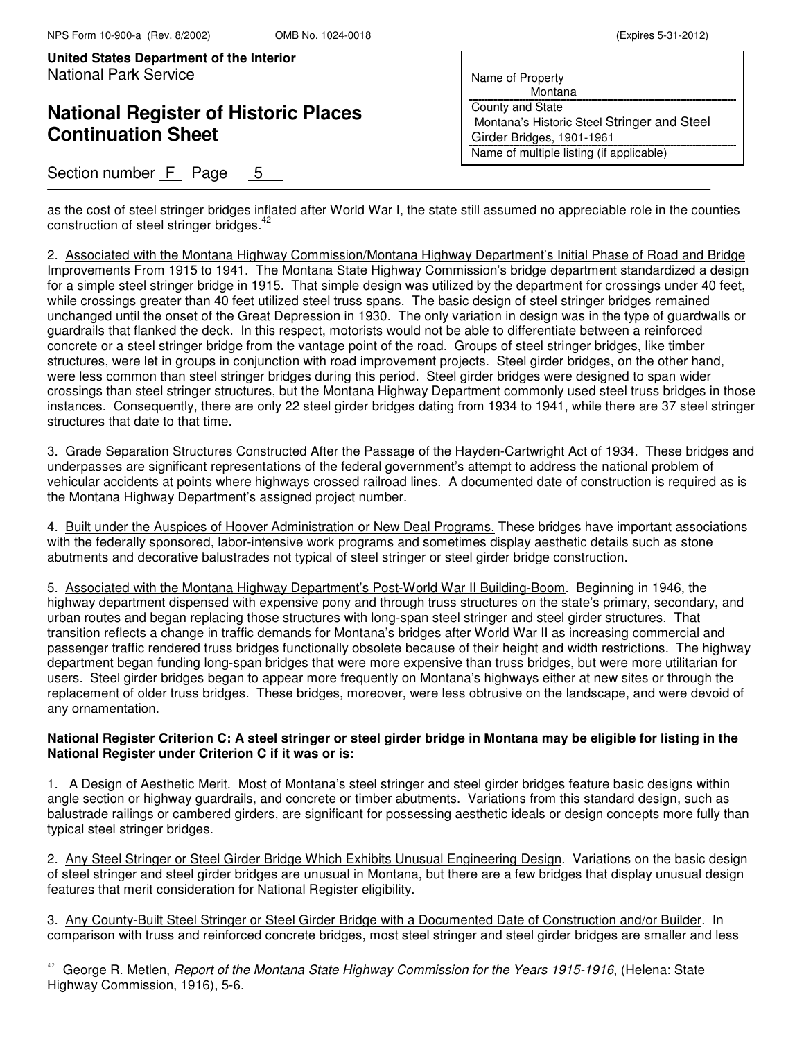L

**United States Department of the Interior** National Park Service

# **National Register of Historic Places Continuation Sheet**

## Section number F Page 5

| Name of Property                            |
|---------------------------------------------|
| Montana                                     |
| County and State                            |
| Montana's Historic Steel Stringer and Steel |
| Girder Bridges, 1901-1961                   |
| Name of multiple listing (if applicable)    |

as the cost of steel stringer bridges inflated after World War I, the state still assumed no appreciable role in the counties construction of steel stringer bridges.<sup>42</sup>

2. Associated with the Montana Highway Commission/Montana Highway Department's Initial Phase of Road and Bridge Improvements From 1915 to 1941. The Montana State Highway Commission's bridge department standardized a design for a simple steel stringer bridge in 1915. That simple design was utilized by the department for crossings under 40 feet, while crossings greater than 40 feet utilized steel truss spans. The basic design of steel stringer bridges remained unchanged until the onset of the Great Depression in 1930. The only variation in design was in the type of guardwalls or guardrails that flanked the deck. In this respect, motorists would not be able to differentiate between a reinforced concrete or a steel stringer bridge from the vantage point of the road. Groups of steel stringer bridges, like timber structures, were let in groups in conjunction with road improvement projects. Steel girder bridges, on the other hand, were less common than steel stringer bridges during this period. Steel girder bridges were designed to span wider crossings than steel stringer structures, but the Montana Highway Department commonly used steel truss bridges in those instances. Consequently, there are only 22 steel girder bridges dating from 1934 to 1941, while there are 37 steel stringer structures that date to that time.

3. Grade Separation Structures Constructed After the Passage of the Hayden-Cartwright Act of 1934. These bridges and underpasses are significant representations of the federal government's attempt to address the national problem of vehicular accidents at points where highways crossed railroad lines. A documented date of construction is required as is the Montana Highway Department's assigned project number.

4. Built under the Auspices of Hoover Administration or New Deal Programs. These bridges have important associations with the federally sponsored, labor-intensive work programs and sometimes display aesthetic details such as stone abutments and decorative balustrades not typical of steel stringer or steel girder bridge construction.

5. Associated with the Montana Highway Department's Post-World War II Building-Boom. Beginning in 1946, the highway department dispensed with expensive pony and through truss structures on the state's primary, secondary, and urban routes and began replacing those structures with long-span steel stringer and steel girder structures. That transition reflects a change in traffic demands for Montana's bridges after World War II as increasing commercial and passenger traffic rendered truss bridges functionally obsolete because of their height and width restrictions. The highway department began funding long-span bridges that were more expensive than truss bridges, but were more utilitarian for users. Steel girder bridges began to appear more frequently on Montana's highways either at new sites or through the replacement of older truss bridges. These bridges, moreover, were less obtrusive on the landscape, and were devoid of any ornamentation.

#### **National Register Criterion C: A steel stringer or steel girder bridge in Montana may be eligible for listing in the National Register under Criterion C if it was or is:**

1. A Design of Aesthetic Merit. Most of Montana's steel stringer and steel girder bridges feature basic designs within angle section or highway guardrails, and concrete or timber abutments. Variations from this standard design, such as balustrade railings or cambered girders, are significant for possessing aesthetic ideals or design concepts more fully than typical steel stringer bridges.

2. Any Steel Stringer or Steel Girder Bridge Which Exhibits Unusual Engineering Design. Variations on the basic design of steel stringer and steel girder bridges are unusual in Montana, but there are a few bridges that display unusual design features that merit consideration for National Register eligibility.

3. Any County-Built Steel Stringer or Steel Girder Bridge with a Documented Date of Construction and/or Builder. In comparison with truss and reinforced concrete bridges, most steel stringer and steel girder bridges are smaller and less

 $42$  George R. Metlen, *Report of the Montana State Highway Commission for the Years 1915-1916*, (Helena: State Highway Commission, 1916), 5-6.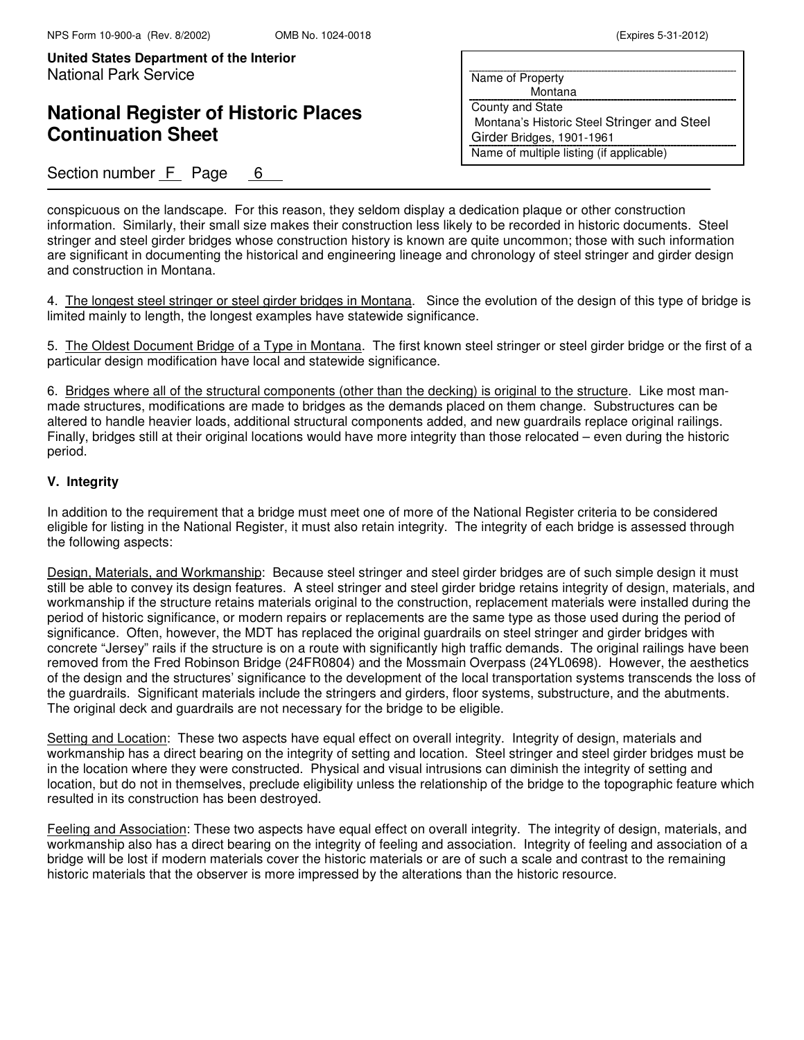## **National Register of Historic Places Continuation Sheet**

| Name of Property                            |
|---------------------------------------------|
| Montana                                     |
| <b>County and State</b>                     |
| Montana's Historic Steel Stringer and Steel |
| Girder Bridges, 1901-1961                   |
| Name of multiple listing (if applicable)    |
|                                             |

### Section number  $F$  Page 6

conspicuous on the landscape. For this reason, they seldom display a dedication plaque or other construction information. Similarly, their small size makes their construction less likely to be recorded in historic documents. Steel stringer and steel girder bridges whose construction history is known are quite uncommon; those with such information are significant in documenting the historical and engineering lineage and chronology of steel stringer and girder design and construction in Montana.

4. The longest steel stringer or steel girder bridges in Montana. Since the evolution of the design of this type of bridge is limited mainly to length, the longest examples have statewide significance.

5. The Oldest Document Bridge of a Type in Montana. The first known steel stringer or steel girder bridge or the first of a particular design modification have local and statewide significance.

6. Bridges where all of the structural components (other than the decking) is original to the structure. Like most manmade structures, modifications are made to bridges as the demands placed on them change. Substructures can be altered to handle heavier loads, additional structural components added, and new guardrails replace original railings. Finally, bridges still at their original locations would have more integrity than those relocated – even during the historic period.

#### **V. Integrity**

In addition to the requirement that a bridge must meet one of more of the National Register criteria to be considered eligible for listing in the National Register, it must also retain integrity. The integrity of each bridge is assessed through the following aspects:

Design, Materials, and Workmanship: Because steel stringer and steel girder bridges are of such simple design it must still be able to convey its design features. A steel stringer and steel girder bridge retains integrity of design, materials, and workmanship if the structure retains materials original to the construction, replacement materials were installed during the period of historic significance, or modern repairs or replacements are the same type as those used during the period of significance. Often, however, the MDT has replaced the original guardrails on steel stringer and girder bridges with concrete "Jersey" rails if the structure is on a route with significantly high traffic demands. The original railings have been removed from the Fred Robinson Bridge (24FR0804) and the Mossmain Overpass (24YL0698). However, the aesthetics of the design and the structures' significance to the development of the local transportation systems transcends the loss of the guardrails. Significant materials include the stringers and girders, floor systems, substructure, and the abutments. The original deck and guardrails are not necessary for the bridge to be eligible.

Setting and Location: These two aspects have equal effect on overall integrity. Integrity of design, materials and workmanship has a direct bearing on the integrity of setting and location. Steel stringer and steel girder bridges must be in the location where they were constructed. Physical and visual intrusions can diminish the integrity of setting and location, but do not in themselves, preclude eligibility unless the relationship of the bridge to the topographic feature which resulted in its construction has been destroyed.

Feeling and Association: These two aspects have equal effect on overall integrity. The integrity of design, materials, and workmanship also has a direct bearing on the integrity of feeling and association. Integrity of feeling and association of a bridge will be lost if modern materials cover the historic materials or are of such a scale and contrast to the remaining historic materials that the observer is more impressed by the alterations than the historic resource.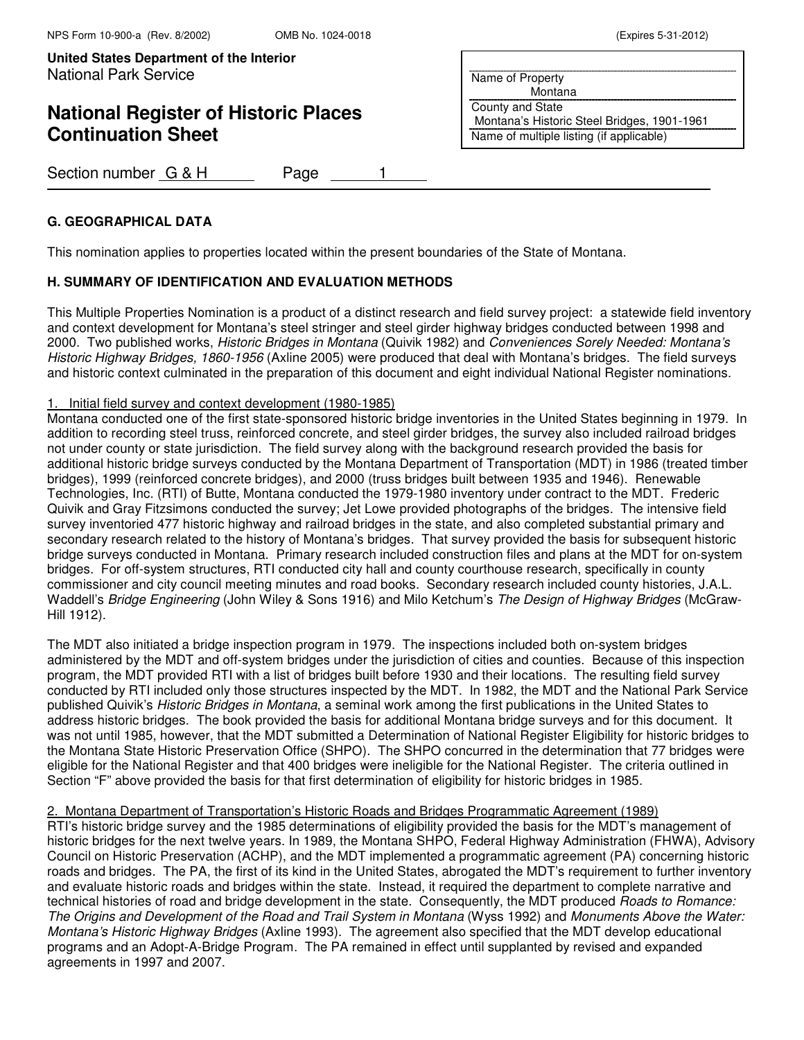# **National Register of Historic Places Continuation Sheet**

| Section number G & H |  | Page |  |
|----------------------|--|------|--|
|----------------------|--|------|--|

### **G. GEOGRAPHICAL DATA**

This nomination applies to properties located within the present boundaries of the State of Montana.

### **H. SUMMARY OF IDENTIFICATION AND EVALUATION METHODS**

This Multiple Properties Nomination is a product of a distinct research and field survey project: a statewide field inventory and context development for Montana's steel stringer and steel girder highway bridges conducted between 1998 and 2000. Two published works, Historic Bridges in Montana (Quivik 1982) and Conveniences Sorely Needed: Montana's Historic Highway Bridges, 1860-1956 (Axline 2005) were produced that deal with Montana's bridges. The field surveys and historic context culminated in the preparation of this document and eight individual National Register nominations.

#### 1. Initial field survey and context development (1980-1985)

Montana conducted one of the first state-sponsored historic bridge inventories in the United States beginning in 1979. In addition to recording steel truss, reinforced concrete, and steel girder bridges, the survey also included railroad bridges not under county or state jurisdiction. The field survey along with the background research provided the basis for additional historic bridge surveys conducted by the Montana Department of Transportation (MDT) in 1986 (treated timber bridges), 1999 (reinforced concrete bridges), and 2000 (truss bridges built between 1935 and 1946). Renewable Technologies, Inc. (RTI) of Butte, Montana conducted the 1979-1980 inventory under contract to the MDT. Frederic Quivik and Gray Fitzsimons conducted the survey; Jet Lowe provided photographs of the bridges. The intensive field survey inventoried 477 historic highway and railroad bridges in the state, and also completed substantial primary and secondary research related to the history of Montana's bridges. That survey provided the basis for subsequent historic bridge surveys conducted in Montana. Primary research included construction files and plans at the MDT for on-system bridges. For off-system structures, RTI conducted city hall and county courthouse research, specifically in county commissioner and city council meeting minutes and road books. Secondary research included county histories, J.A.L. Waddell's Bridge Engineering (John Wiley & Sons 1916) and Milo Ketchum's The Design of Highway Bridges (McGraw-Hill 1912).

The MDT also initiated a bridge inspection program in 1979. The inspections included both on-system bridges administered by the MDT and off-system bridges under the jurisdiction of cities and counties. Because of this inspection program, the MDT provided RTI with a list of bridges built before 1930 and their locations. The resulting field survey conducted by RTI included only those structures inspected by the MDT. In 1982, the MDT and the National Park Service published Quivik's Historic Bridges in Montana, a seminal work among the first publications in the United States to address historic bridges. The book provided the basis for additional Montana bridge surveys and for this document. It was not until 1985, however, that the MDT submitted a Determination of National Register Eligibility for historic bridges to the Montana State Historic Preservation Office (SHPO). The SHPO concurred in the determination that 77 bridges were eligible for the National Register and that 400 bridges were ineligible for the National Register. The criteria outlined in Section "F" above provided the basis for that first determination of eligibility for historic bridges in 1985.

### 2. Montana Department of Transportation's Historic Roads and Bridges Programmatic Agreement (1989)

RTI's historic bridge survey and the 1985 determinations of eligibility provided the basis for the MDT's management of historic bridges for the next twelve years. In 1989, the Montana SHPO, Federal Highway Administration (FHWA), Advisory Council on Historic Preservation (ACHP), and the MDT implemented a programmatic agreement (PA) concerning historic roads and bridges. The PA, the first of its kind in the United States, abrogated the MDT's requirement to further inventory and evaluate historic roads and bridges within the state. Instead, it required the department to complete narrative and technical histories of road and bridge development in the state. Consequently, the MDT produced Roads to Romance: The Origins and Development of the Road and Trail System in Montana (Wyss 1992) and Monuments Above the Water: Montana's Historic Highway Bridges (Axline 1993). The agreement also specified that the MDT develop educational programs and an Adopt-A-Bridge Program. The PA remained in effect until supplanted by revised and expanded agreements in 1997 and 2007.

Name of Property

 Montana County and State Montana's Historic Steel Bridges, 1901-1961 Name of multiple listing (if applicable)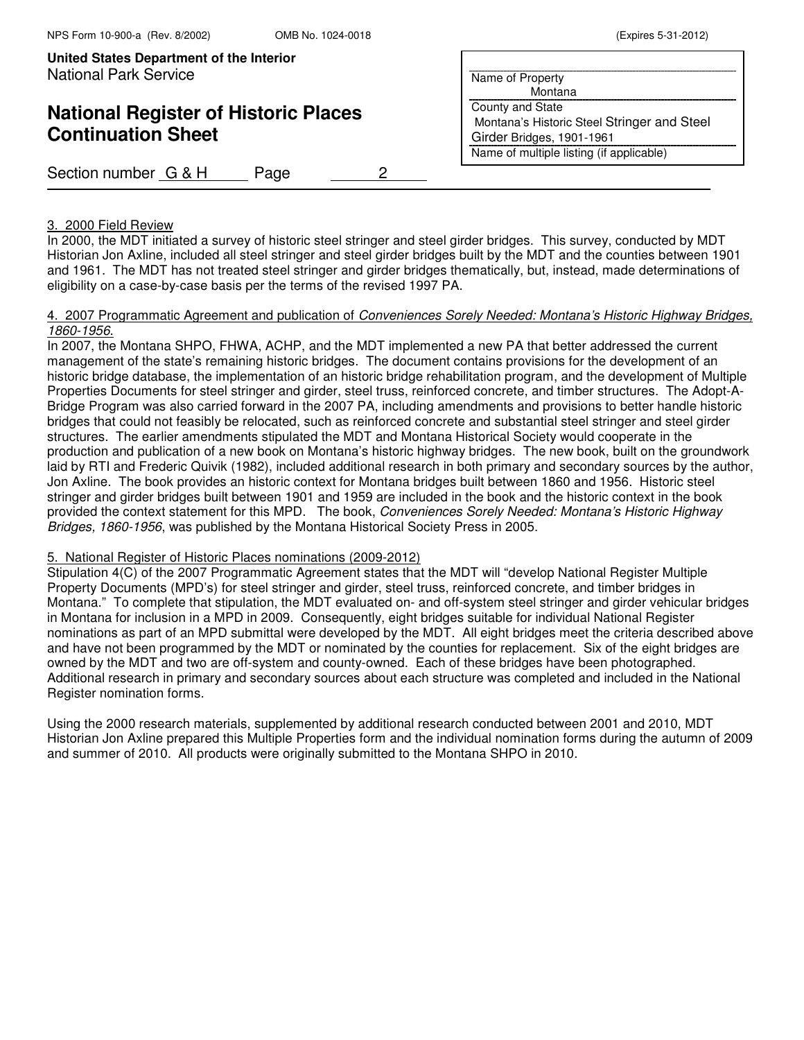**United States Department of the Interior Put Here**  $\sqrt{2}$ **Put Here**  $\sqrt{2}$ **Put Here**  $\sqrt{2}$ **Put Here**  $\sqrt{2}$ **Put Here**  $\sqrt{2}$ **Put Here**  $\sqrt{2}$ **Put Here**  $\sqrt{2}$ **Put Here**  $\sqrt{2}$ **Put Here**  $\sqrt{2}$ **Put Here**  $\sqrt{2}$ **Put Here**  $\sqrt{2}$ **Put** National Park Service

# **National Register of Historic Places Continuation Sheet**

Section number G & H Page 2

### Name of Property Montana County and State Montana's Historic Steel Stringer and Steel Girder Bridges, 1901-1961 Name of multiple listing (if applicable)

#### 3. 2000 Field Review

In 2000, the MDT initiated a survey of historic steel stringer and steel girder bridges. This survey, conducted by MDT Historian Jon Axline, included all steel stringer and steel girder bridges built by the MDT and the counties between 1901 and 1961. The MDT has not treated steel stringer and girder bridges thematically, but, instead, made determinations of eligibility on a case-by-case basis per the terms of the revised 1997 PA.

#### 4. 2007 Programmatic Agreement and publication of Conveniences Sorely Needed: Montana's Historic Highway Bridges, 1860-1956.

In 2007, the Montana SHPO, FHWA, ACHP, and the MDT implemented a new PA that better addressed the current management of the state's remaining historic bridges. The document contains provisions for the development of an historic bridge database, the implementation of an historic bridge rehabilitation program, and the development of Multiple Properties Documents for steel stringer and girder, steel truss, reinforced concrete, and timber structures. The Adopt-A-Bridge Program was also carried forward in the 2007 PA, including amendments and provisions to better handle historic bridges that could not feasibly be relocated, such as reinforced concrete and substantial steel stringer and steel girder structures. The earlier amendments stipulated the MDT and Montana Historical Society would cooperate in the production and publication of a new book on Montana's historic highway bridges. The new book, built on the groundwork laid by RTI and Frederic Quivik (1982), included additional research in both primary and secondary sources by the author, Jon Axline. The book provides an historic context for Montana bridges built between 1860 and 1956. Historic steel stringer and girder bridges built between 1901 and 1959 are included in the book and the historic context in the book provided the context statement for this MPD. The book, Conveniences Sorely Needed: Montana's Historic Highway Bridges, 1860-1956, was published by the Montana Historical Society Press in 2005.

#### 5. National Register of Historic Places nominations (2009-2012)

Stipulation 4(C) of the 2007 Programmatic Agreement states that the MDT will "develop National Register Multiple Property Documents (MPD's) for steel stringer and girder, steel truss, reinforced concrete, and timber bridges in Montana." To complete that stipulation, the MDT evaluated on- and off-system steel stringer and girder vehicular bridges in Montana for inclusion in a MPD in 2009. Consequently, eight bridges suitable for individual National Register nominations as part of an MPD submittal were developed by the MDT. All eight bridges meet the criteria described above and have not been programmed by the MDT or nominated by the counties for replacement. Six of the eight bridges are owned by the MDT and two are off-system and county-owned. Each of these bridges have been photographed. Additional research in primary and secondary sources about each structure was completed and included in the National Register nomination forms.

Using the 2000 research materials, supplemented by additional research conducted between 2001 and 2010, MDT Historian Jon Axline prepared this Multiple Properties form and the individual nomination forms during the autumn of 2009 and summer of 2010. All products were originally submitted to the Montana SHPO in 2010.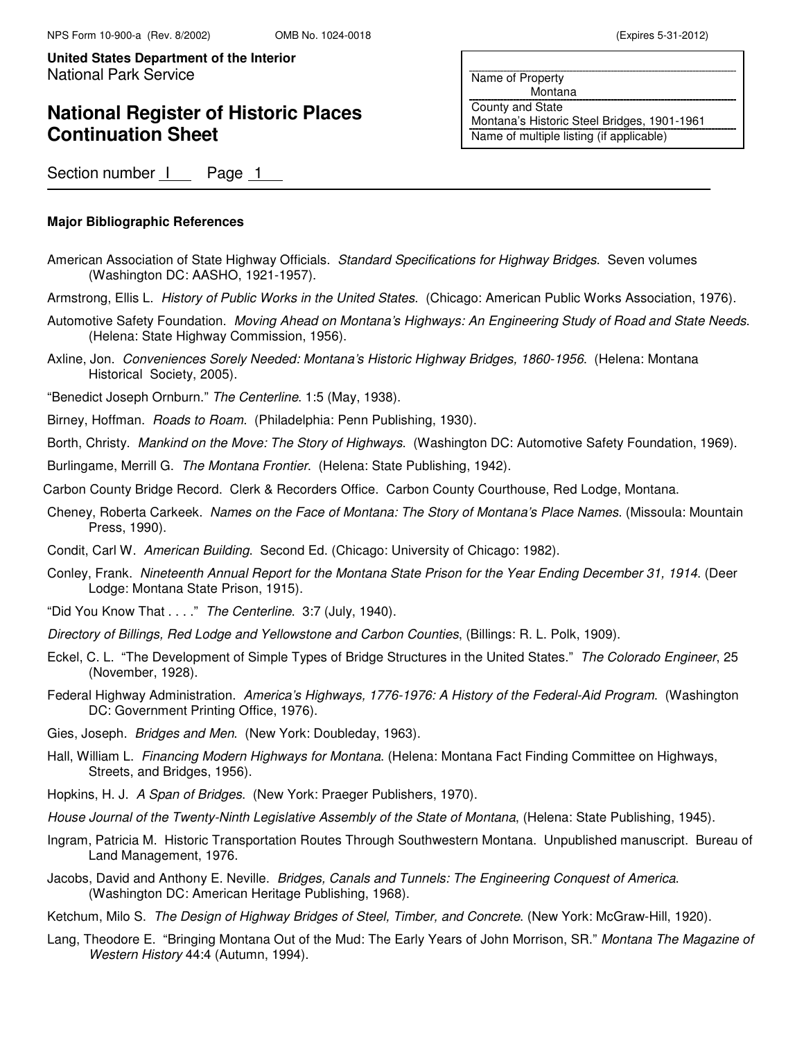## **National Register of Historic Places Continuation Sheet**

Name of Property Montana County and State Montana's Historic Steel Bridges, 1901-1961 Name of multiple listing (if applicable)

Section number | Page 1

### **Major Bibliographic References**

- American Association of State Highway Officials. Standard Specifications for Highway Bridges. Seven volumes (Washington DC: AASHO, 1921-1957).
- Armstrong, Ellis L. History of Public Works in the United States. (Chicago: American Public Works Association, 1976).
- Automotive Safety Foundation. Moving Ahead on Montana's Highways: An Engineering Study of Road and State Needs. (Helena: State Highway Commission, 1956).
- Axline, Jon. Conveniences Sorely Needed: Montana's Historic Highway Bridges, 1860-1956. (Helena: Montana Historical Society, 2005).

"Benedict Joseph Ornburn." The Centerline. 1:5 (May, 1938).

Birney, Hoffman. Roads to Roam. (Philadelphia: Penn Publishing, 1930).

Borth, Christy. Mankind on the Move: The Story of Highways. (Washington DC: Automotive Safety Foundation, 1969).

Burlingame, Merrill G. The Montana Frontier. (Helena: State Publishing, 1942).

- Carbon County Bridge Record. Clerk & Recorders Office. Carbon County Courthouse, Red Lodge, Montana.
- Cheney, Roberta Carkeek. Names on the Face of Montana: The Story of Montana's Place Names. (Missoula: Mountain Press, 1990).
- Condit, Carl W. American Building. Second Ed. (Chicago: University of Chicago: 1982).
- Conley, Frank. Nineteenth Annual Report for the Montana State Prison for the Year Ending December 31, 1914. (Deer Lodge: Montana State Prison, 1915).
- "Did You Know That . . . ." The Centerline. 3:7 (July, 1940).
- Directory of Billings, Red Lodge and Yellowstone and Carbon Counties, (Billings: R. L. Polk, 1909).
- Eckel, C. L. "The Development of Simple Types of Bridge Structures in the United States." The Colorado Engineer, 25 (November, 1928).
- Federal Highway Administration. America's Highways, 1776-1976: A History of the Federal-Aid Program. (Washington DC: Government Printing Office, 1976).
- Gies, Joseph. Bridges and Men. (New York: Doubleday, 1963).
- Hall, William L. Financing Modern Highways for Montana. (Helena: Montana Fact Finding Committee on Highways, Streets, and Bridges, 1956).
- Hopkins, H. J. A Span of Bridges. (New York: Praeger Publishers, 1970).
- House Journal of the Twenty-Ninth Legislative Assembly of the State of Montana, (Helena: State Publishing, 1945).
- Ingram, Patricia M. Historic Transportation Routes Through Southwestern Montana. Unpublished manuscript. Bureau of Land Management, 1976.
- Jacobs, David and Anthony E. Neville. Bridges, Canals and Tunnels: The Engineering Conquest of America. (Washington DC: American Heritage Publishing, 1968).
- Ketchum, Milo S. The Design of Highway Bridges of Steel, Timber, and Concrete. (New York: McGraw-Hill, 1920).
- Lang, Theodore E. "Bringing Montana Out of the Mud: The Early Years of John Morrison, SR." Montana The Magazine of Western History 44:4 (Autumn, 1994).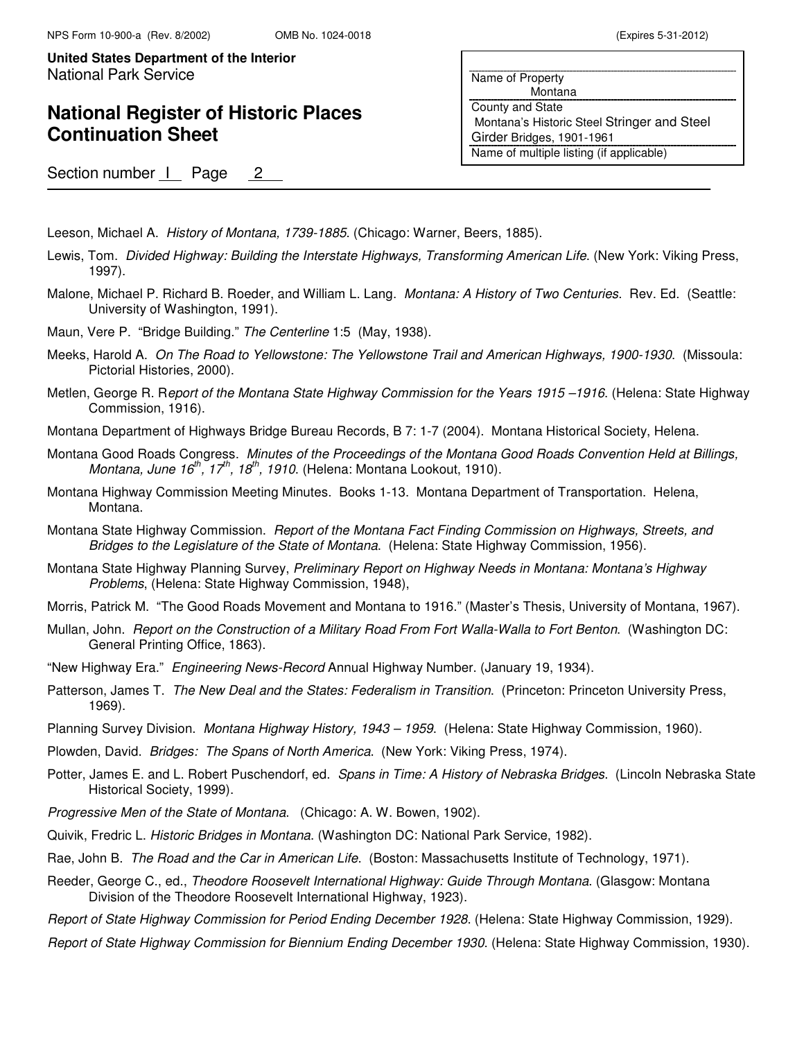## **National Register of Historic Places Continuation Sheet**

Name of Property Montana County and State Montana's Historic Steel Stringer and Steel Girder Bridges, 1901-1961 Name of multiple listing (if applicable)

Section number 1 Page 2

Leeson, Michael A. History of Montana, 1739-1885. (Chicago: Warner, Beers, 1885).

- Lewis, Tom. Divided Highway: Building the Interstate Highways, Transforming American Life. (New York: Viking Press, 1997).
- Malone, Michael P. Richard B. Roeder, and William L. Lang. Montana: A History of Two Centuries. Rev. Ed. (Seattle: University of Washington, 1991).
- Maun, Vere P. "Bridge Building." The Centerline 1:5 (May, 1938).
- Meeks, Harold A. On The Road to Yellowstone: The Yellowstone Trail and American Highways, 1900-1930. (Missoula: Pictorial Histories, 2000).
- Metlen, George R. Report of the Montana State Highway Commission for the Years 1915–1916. (Helena: State Highway Commission, 1916).
- Montana Department of Highways Bridge Bureau Records, B 7: 1-7 (2004). Montana Historical Society, Helena.
- Montana Good Roads Congress. Minutes of the Proceedings of the Montana Good Roads Convention Held at Billings, Montana, June  $16^{th}$ ,  $17^{th}$ ,  $18^{th}$ , 1910. (Helena: Montana Lookout, 1910).
- Montana Highway Commission Meeting Minutes. Books 1-13. Montana Department of Transportation. Helena, Montana.
- Montana State Highway Commission. Report of the Montana Fact Finding Commission on Highways, Streets, and Bridges to the Legislature of the State of Montana. (Helena: State Highway Commission, 1956).
- Montana State Highway Planning Survey, Preliminary Report on Highway Needs in Montana: Montana's Highway Problems, (Helena: State Highway Commission, 1948),
- Morris, Patrick M. "The Good Roads Movement and Montana to 1916." (Master's Thesis, University of Montana, 1967).
- Mullan, John. Report on the Construction of a Military Road From Fort Walla-Walla to Fort Benton. (Washington DC: General Printing Office, 1863).
- "New Highway Era." Engineering News-Record Annual Highway Number. (January 19, 1934).
- Patterson, James T. The New Deal and the States: Federalism in Transition. (Princeton: Princeton University Press, 1969).
- Planning Survey Division. Montana Highway History, 1943 1959. (Helena: State Highway Commission, 1960).
- Plowden, David. Bridges: The Spans of North America. (New York: Viking Press, 1974).
- Potter, James E. and L. Robert Puschendorf, ed. Spans in Time: A History of Nebraska Bridges. (Lincoln Nebraska State Historical Society, 1999).
- Progressive Men of the State of Montana. (Chicago: A. W. Bowen, 1902).
- Quivik, Fredric L. Historic Bridges in Montana. (Washington DC: National Park Service, 1982).
- Rae, John B. The Road and the Car in American Life. (Boston: Massachusetts Institute of Technology, 1971).
- Reeder, George C., ed., Theodore Roosevelt International Highway: Guide Through Montana. (Glasgow: Montana Division of the Theodore Roosevelt International Highway, 1923).
- Report of State Highway Commission for Period Ending December 1928. (Helena: State Highway Commission, 1929).
- Report of State Highway Commission for Biennium Ending December 1930. (Helena: State Highway Commission, 1930).